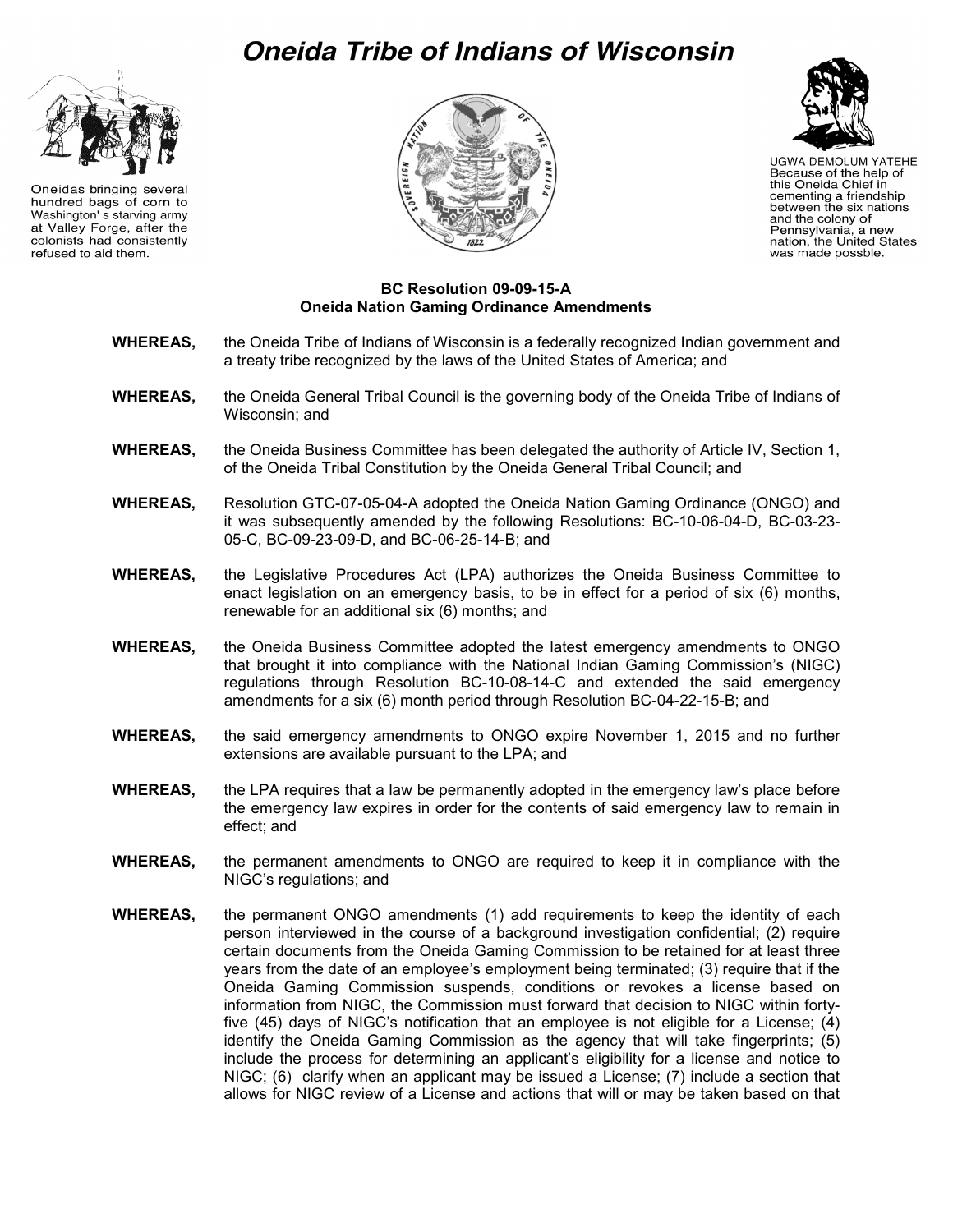# Oneida Tribe of Indians of Wisconsin



Oneidas bringing several hundred bags of corn to Washington' s starving army at Valley Forge, after the colonists had consistently refused to aid them.





**UGWA DEMOLUM YATEHE** Because of the help of this Oneida Chief in cementing a friendship between the six nations<br>and the colony of Pennsylvania, a new nation, the United States was made possble.

#### **BC Resolution 09-09-15-A Oneida Nation Gaming Ordinance Amendments**

- **WHEREAS,** the Oneida Tribe of Indians of Wisconsin is a federally recognized Indian government and a treaty tribe recognized by the laws of the United States of America; and
- **WHEREAS,** the Oneida General Tribal Council is the governing body of the Oneida Tribe of Indians of Wisconsin; and
- **WHEREAS,** the Oneida Business Committee has been delegated the authority of Article IV, Section 1, of the Oneida Tribal Constitution by the Oneida General Tribal Council; and
- **WHEREAS,** Resolution GTC-07-05-04-A adopted the Oneida Nation Gaming Ordinance (ONGO) and it was subsequently amended by the following Resolutions: BC-10-06-04-D, BC-03-23- 05-C, BC-09-23-09-D, and BC-06-25-14-B; and
- **WHEREAS,** the Legislative Procedures Act (LPA) authorizes the Oneida Business Committee to enact legislation on an emergency basis, to be in effect for a period of six (6) months, renewable for an additional six (6) months; and
- **WHEREAS,** the Oneida Business Committee adopted the latest emergency amendments to ONGO that brought it into compliance with the National Indian Gaming Commission's (NIGC) regulations through Resolution BC-10-08-14-C and extended the said emergency amendments for a six (6) month period through Resolution BC-04-22-15-B; and
- **WHEREAS,** the said emergency amendments to ONGO expire November 1, 2015 and no further extensions are available pursuant to the LPA; and
- **WHEREAS,** the LPA requires that a law be permanently adopted in the emergency law's place before the emergency law expires in order for the contents of said emergency law to remain in effect; and
- **WHEREAS,** the permanent amendments to ONGO are required to keep it in compliance with the NIGC's regulations; and
- **WHEREAS,** the permanent ONGO amendments (1) add requirements to keep the identity of each person interviewed in the course of a background investigation confidential; (2) require certain documents from the Oneida Gaming Commission to be retained for at least three years from the date of an employee's employment being terminated; (3) require that if the Oneida Gaming Commission suspends, conditions or revokes a license based on information from NIGC, the Commission must forward that decision to NIGC within fortyfive (45) days of NIGC's notification that an employee is not eligible for a License; (4) identify the Oneida Gaming Commission as the agency that will take fingerprints; (5) include the process for determining an applicant's eligibility for a license and notice to NIGC; (6) clarify when an applicant may be issued a License; (7) include a section that allows for NIGC review of a License and actions that will or may be taken based on that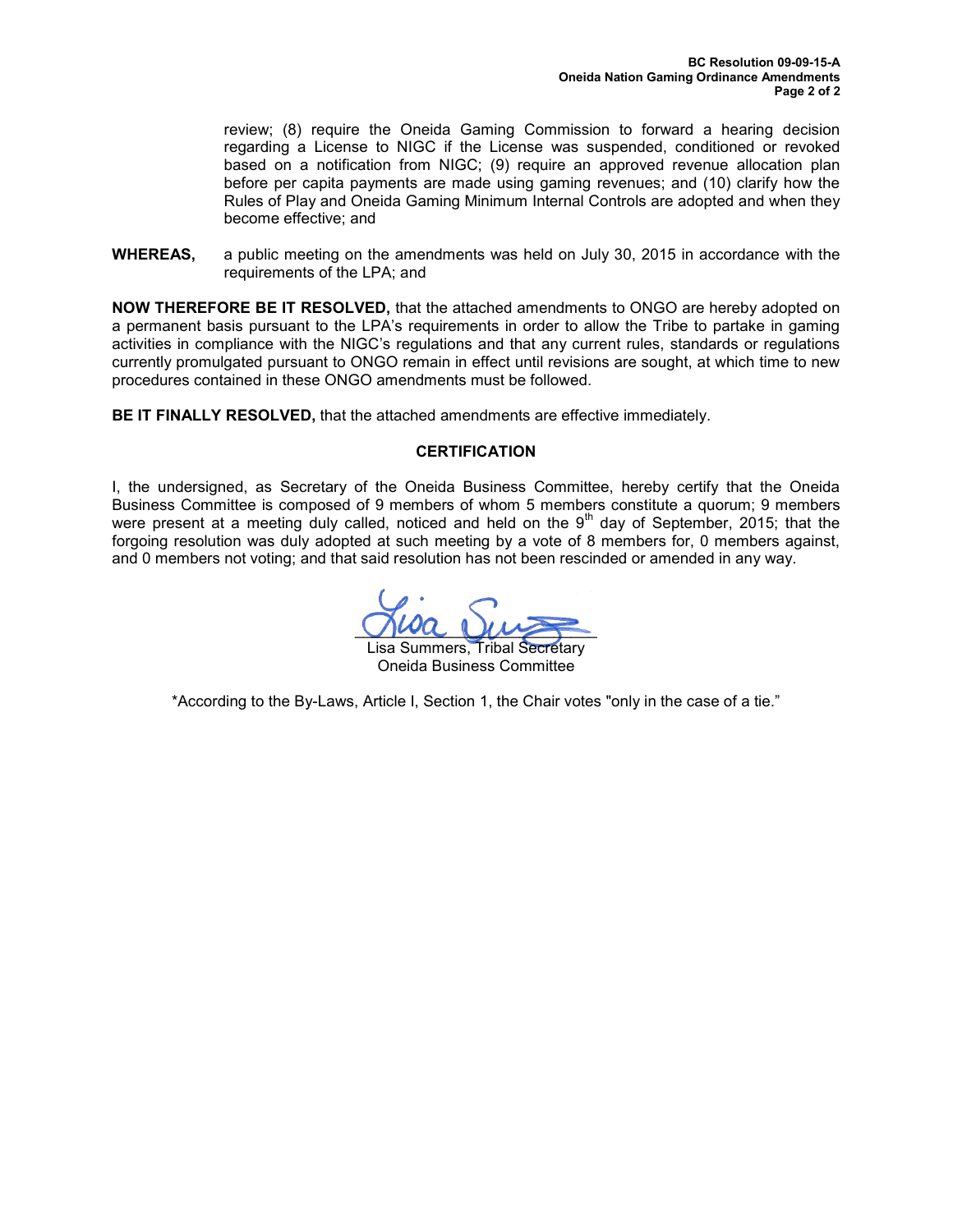review; (8) require the Oneida Gaming Commission to forward a hearing decision regarding a License to NIGC if the License was suspended, conditioned or revoked based on a notification from NIGC; (9) require an approved revenue allocation plan before per capita payments are made using gaming revenues; and (10) clarify how the Rules of Play and Oneida Gaming Minimum Internal Controls are adopted and when they become effective; and

**WHEREAS,** a public meeting on the amendments was held on July 30, 2015 in accordance with the requirements of the LPA; and

**NOW THEREFORE BE IT RESOLVED,** that the attached amendments to ONGO are hereby adopted on a permanent basis pursuant to the LPA's requirements in order to allow the Tribe to partake in gaming activities in compliance with the NIGC's regulations and that any current rules, standards or regulations currently promulgated pursuant to ONGO remain in effect until revisions are sought, at which time to new procedures contained in these ONGO amendments must be followed.

**BE IT FINALLY RESOLVED,** that the attached amendments are effective immediately.

#### **CERTIFICATION**

I, the undersigned, as Secretary of the Oneida Business Committee, hereby certify that the Oneida Business Committee is composed of 9 members of whom 5 members constitute a quorum; 9 members were present at a meeting duly called, noticed and held on the  $9<sup>th</sup>$  day of September, 2015; that the forgoing resolution was duly adopted at such meeting by a vote of 8 members for, 0 members against, and 0 members not voting; and that said resolution has not been rescinded or amended in any way.

 $\bigcup \text{int}$   $\bigcup \text{tr}$ 

Lisa Summers, Tribal Secretary Oneida Business Committee

\*According to the By-Laws, Article I, Section 1, the Chair votes "only in the case of a tie."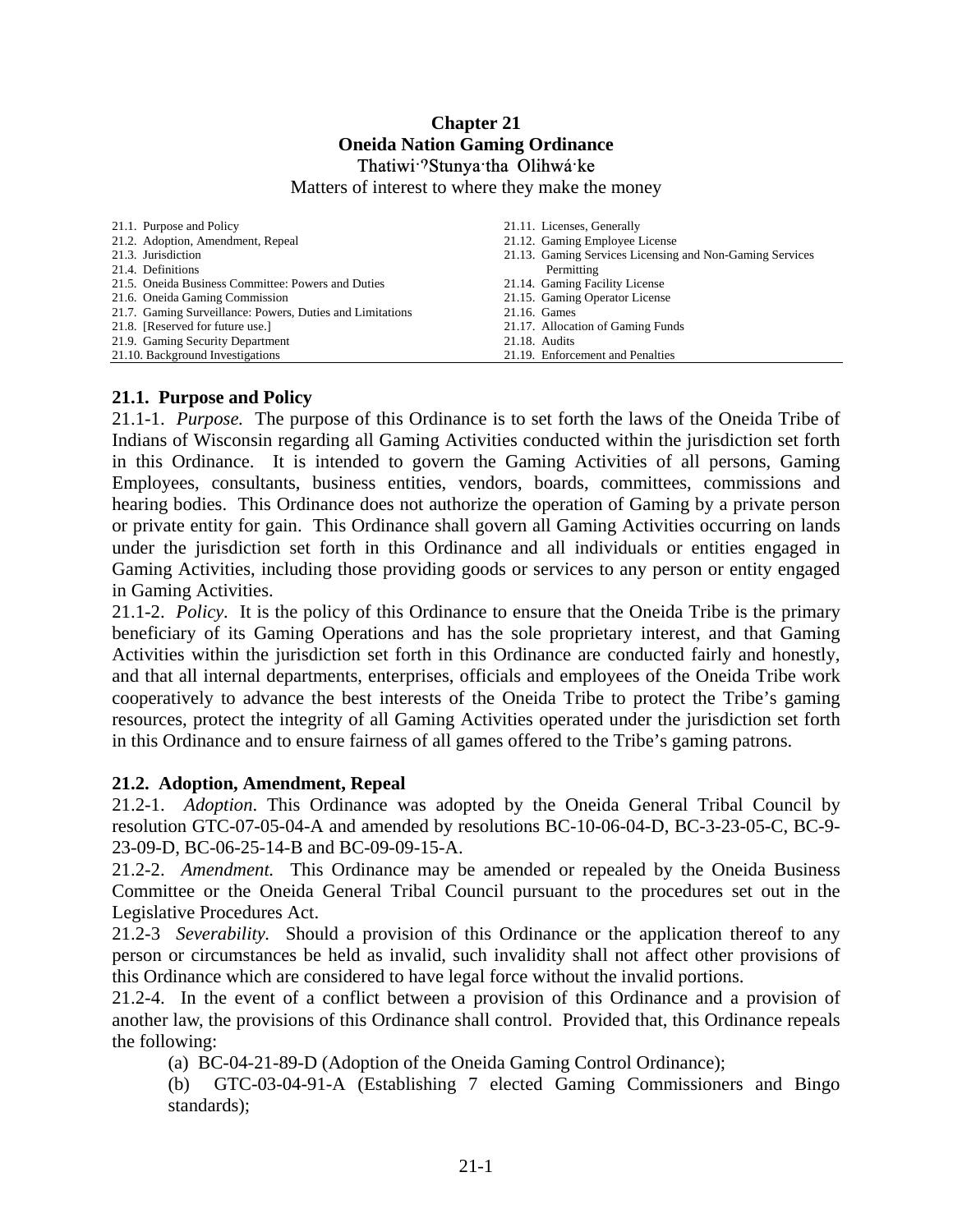# **Chapter 21 Oneida Nation Gaming Ordinance**

#### Thatiwi<sup>-2</sup>Stunya<sup>-tha</sup> Olihwá<sup>-</sup>ke

Matters of interest to where they make the money

| 21.1. Purpose and Policy                                  | 21.11. Licenses, Generally                               |
|-----------------------------------------------------------|----------------------------------------------------------|
| 21.2. Adoption, Amendment, Repeal                         | 21.12. Gaming Employee License                           |
| 21.3. Jurisdiction                                        | 21.13. Gaming Services Licensing and Non-Gaming Services |
| 21.4. Definitions                                         | Permitting                                               |
| 21.5. Oneida Business Committee: Powers and Duties        | 21.14. Gaming Facility License                           |
| 21.6. Oneida Gaming Commission                            | 21.15. Gaming Operator License                           |
| 21.7. Gaming Surveillance: Powers, Duties and Limitations | 21.16. Games                                             |
| 21.8. [Reserved for future use.]                          | 21.17. Allocation of Gaming Funds                        |
| 21.9. Gaming Security Department                          | 21.18. Audits                                            |
| 21.10. Background Investigations                          | 21.19. Enforcement and Penalties                         |

#### **21.1. Purpose and Policy**

21.1-1. *Purpose.* The purpose of this Ordinance is to set forth the laws of the Oneida Tribe of Indians of Wisconsin regarding all Gaming Activities conducted within the jurisdiction set forth in this Ordinance. It is intended to govern the Gaming Activities of all persons, Gaming Employees, consultants, business entities, vendors, boards, committees, commissions and hearing bodies. This Ordinance does not authorize the operation of Gaming by a private person or private entity for gain. This Ordinance shall govern all Gaming Activities occurring on lands under the jurisdiction set forth in this Ordinance and all individuals or entities engaged in Gaming Activities, including those providing goods or services to any person or entity engaged in Gaming Activities.

21.1-2. *Policy.* It is the policy of this Ordinance to ensure that the Oneida Tribe is the primary beneficiary of its Gaming Operations and has the sole proprietary interest, and that Gaming Activities within the jurisdiction set forth in this Ordinance are conducted fairly and honestly, and that all internal departments, enterprises, officials and employees of the Oneida Tribe work cooperatively to advance the best interests of the Oneida Tribe to protect the Tribe's gaming resources, protect the integrity of all Gaming Activities operated under the jurisdiction set forth in this Ordinance and to ensure fairness of all games offered to the Tribe's gaming patrons.

#### **21.2. Adoption, Amendment, Repeal**

21.2-1. *Adoption*. This Ordinance was adopted by the Oneida General Tribal Council by resolution GTC-07-05-04-A and amended by resolutions BC-10-06-04-D, BC-3-23-05-C, BC-9- 23-09-D, BC-06-25-14-B and BC-09-09-15-A.

21.2-2. *Amendment.* This Ordinance may be amended or repealed by the Oneida Business Committee or the Oneida General Tribal Council pursuant to the procedures set out in the Legislative Procedures Act.

21.2-3 *Severability.* Should a provision of this Ordinance or the application thereof to any person or circumstances be held as invalid, such invalidity shall not affect other provisions of this Ordinance which are considered to have legal force without the invalid portions.

21.2-4. In the event of a conflict between a provision of this Ordinance and a provision of another law, the provisions of this Ordinance shall control. Provided that, this Ordinance repeals the following:

(a) BC-04-21-89-D (Adoption of the Oneida Gaming Control Ordinance);

(b) GTC-03-04-91-A (Establishing 7 elected Gaming Commissioners and Bingo standards);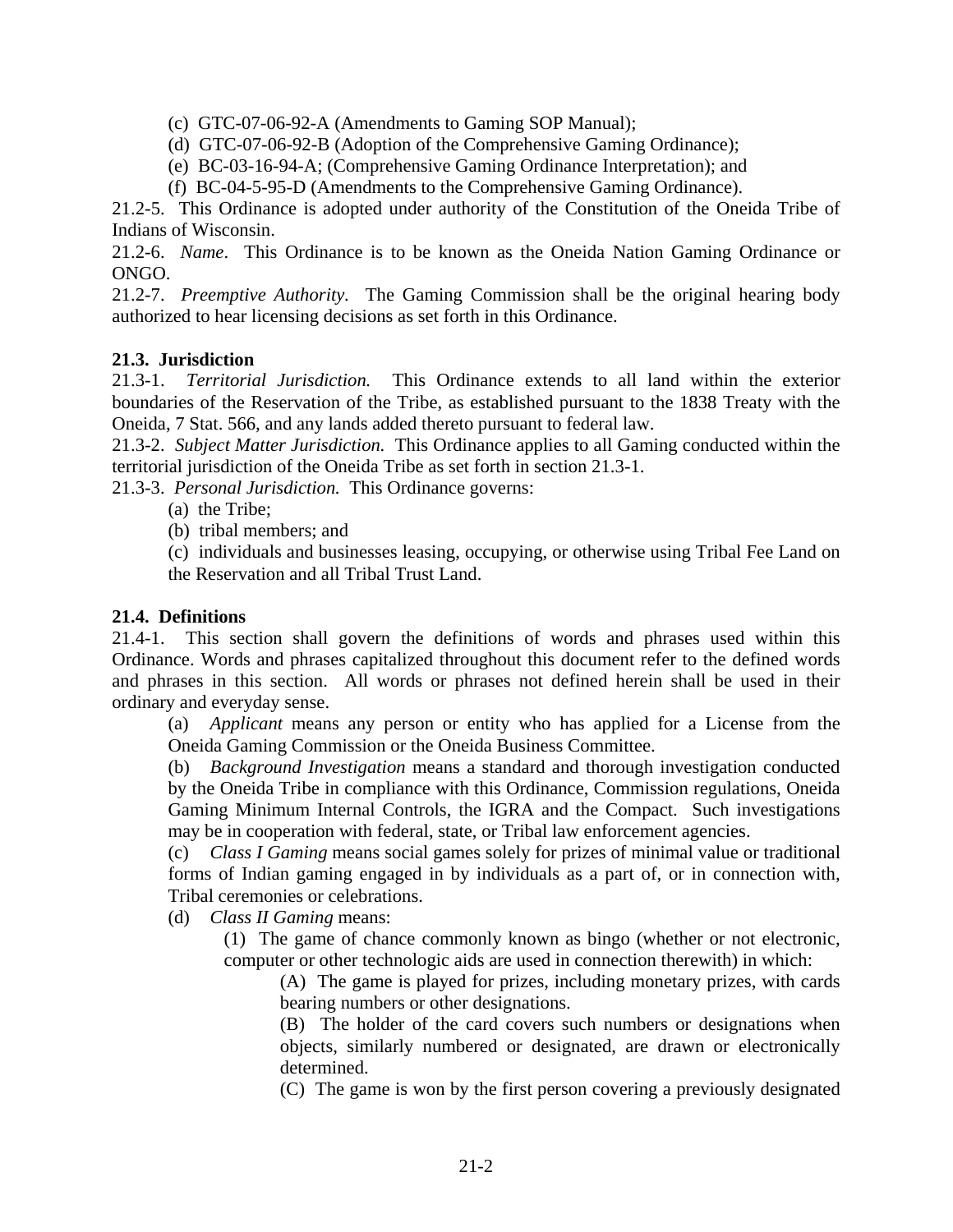(c) GTC-07-06-92-A (Amendments to Gaming SOP Manual);

(d) GTC-07-06-92-B (Adoption of the Comprehensive Gaming Ordinance);

(e) BC-03-16-94-A; (Comprehensive Gaming Ordinance Interpretation); and

(f) BC-04-5-95-D (Amendments to the Comprehensive Gaming Ordinance).

21.2-5. This Ordinance is adopted under authority of the Constitution of the Oneida Tribe of Indians of Wisconsin.

21.2-6. *Name*. This Ordinance is to be known as the Oneida Nation Gaming Ordinance or ONGO.

21.2-7. *Preemptive Authority.* The Gaming Commission shall be the original hearing body authorized to hear licensing decisions as set forth in this Ordinance.

#### **21.3. Jurisdiction**

21.3-1. *Territorial Jurisdiction.* This Ordinance extends to all land within the exterior boundaries of the Reservation of the Tribe, as established pursuant to the 1838 Treaty with the Oneida, 7 Stat. 566*,* and any lands added thereto pursuant to federal law.

21.3-2. *Subject Matter Jurisdiction.* This Ordinance applies to all Gaming conducted within the territorial jurisdiction of the Oneida Tribe as set forth in section 21.3-1.

21.3-3. *Personal Jurisdiction.* This Ordinance governs:

- (a) the Tribe;
- (b) tribal members; and

(c) individuals and businesses leasing, occupying, or otherwise using Tribal Fee Land on the Reservation and all Tribal Trust Land.

### **21.4. Definitions**

21.4-1. This section shall govern the definitions of words and phrases used within this Ordinance. Words and phrases capitalized throughout this document refer to the defined words and phrases in this section. All words or phrases not defined herein shall be used in their ordinary and everyday sense.

(a) *Applicant* means any person or entity who has applied for a License from the Oneida Gaming Commission or the Oneida Business Committee.

 (b) *Background Investigation* means a standard and thorough investigation conducted by the Oneida Tribe in compliance with this Ordinance, Commission regulations, Oneida Gaming Minimum Internal Controls, the IGRA and the Compact. Such investigations may be in cooperation with federal, state, or Tribal law enforcement agencies.

(c) *Class I Gaming* means social games solely for prizes of minimal value or traditional forms of Indian gaming engaged in by individuals as a part of, or in connection with, Tribal ceremonies or celebrations.

(d) *Class II Gaming* means:

(1) The game of chance commonly known as bingo (whether or not electronic, computer or other technologic aids are used in connection therewith) in which:

(A) The game is played for prizes, including monetary prizes, with cards bearing numbers or other designations.

(B) The holder of the card covers such numbers or designations when objects, similarly numbered or designated, are drawn or electronically determined.

(C) The game is won by the first person covering a previously designated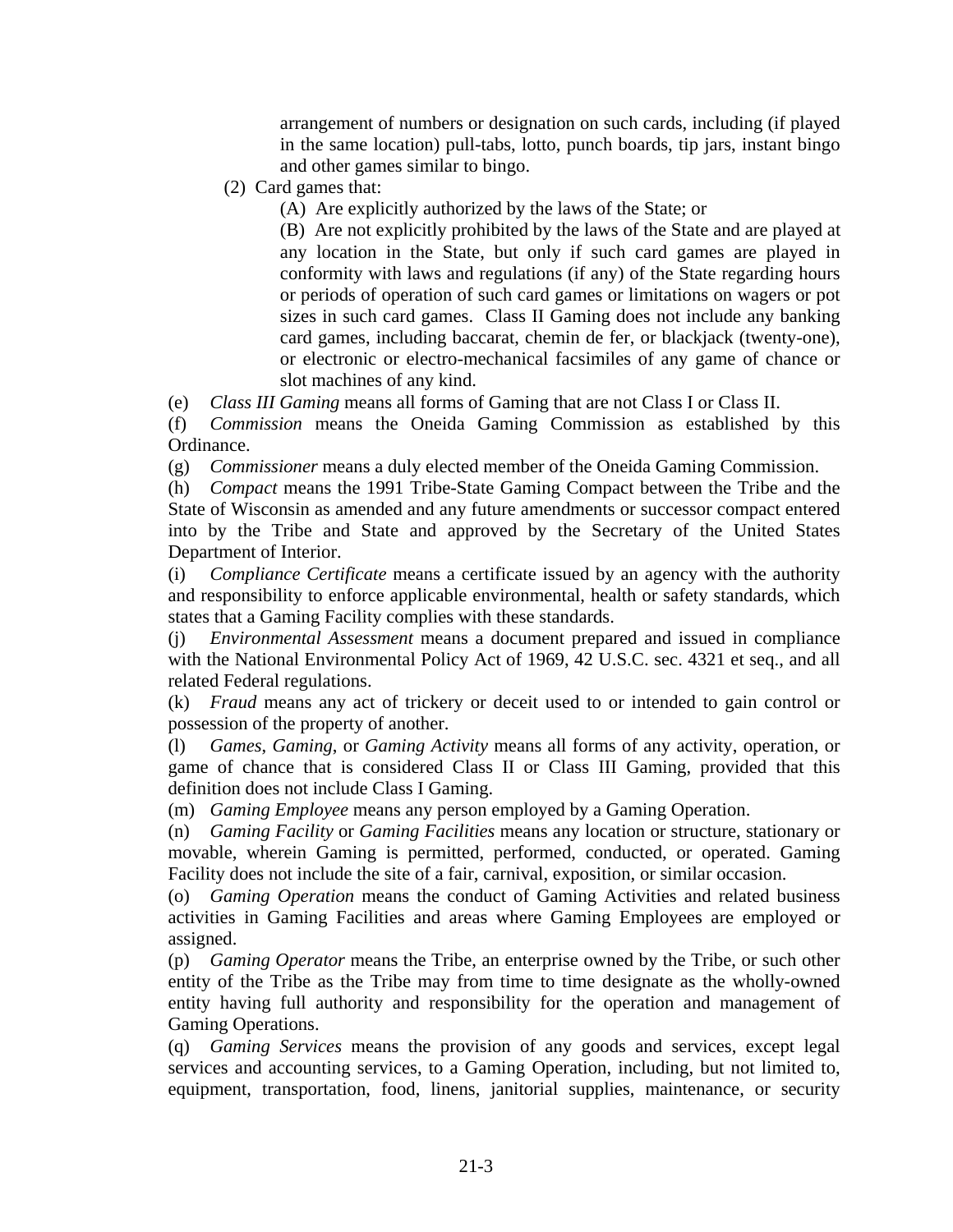arrangement of numbers or designation on such cards, including (if played in the same location) pull-tabs, lotto, punch boards, tip jars, instant bingo and other games similar to bingo.

- (2) Card games that:
	- (A) Are explicitly authorized by the laws of the State; or

(B) Are not explicitly prohibited by the laws of the State and are played at any location in the State, but only if such card games are played in conformity with laws and regulations (if any) of the State regarding hours or periods of operation of such card games or limitations on wagers or pot sizes in such card games. Class II Gaming does not include any banking card games, including baccarat, chemin de fer, or blackjack (twenty-one), or electronic or electro-mechanical facsimiles of any game of chance or slot machines of any kind.

(e) *Class III Gaming* means all forms of Gaming that are not Class I or Class II.

(f) *Commission* means the Oneida Gaming Commission as established by this Ordinance.

(g) *Commissioner* means a duly elected member of the Oneida Gaming Commission.

(h) *Compact* means the 1991 Tribe-State Gaming Compact between the Tribe and the State of Wisconsin as amended and any future amendments or successor compact entered into by the Tribe and State and approved by the Secretary of the United States Department of Interior.

(i) *Compliance Certificate* means a certificate issued by an agency with the authority and responsibility to enforce applicable environmental, health or safety standards, which states that a Gaming Facility complies with these standards.

(j) *Environmental Assessment* means a document prepared and issued in compliance with the National Environmental Policy Act of 1969, 42 U.S.C. sec. 4321 et seq., and all related Federal regulations.

(k) *Fraud* means any act of trickery or deceit used to or intended to gain control or possession of the property of another.

(l) *Games*, *Gaming*, or *Gaming Activity* means all forms of any activity, operation, or game of chance that is considered Class II or Class III Gaming, provided that this definition does not include Class I Gaming.

(m) *Gaming Employee* means any person employed by a Gaming Operation.

(n) *Gaming Facility* or *Gaming Facilities* means any location or structure, stationary or movable, wherein Gaming is permitted, performed, conducted, or operated. Gaming Facility does not include the site of a fair, carnival, exposition, or similar occasion.

(o) *Gaming Operation* means the conduct of Gaming Activities and related business activities in Gaming Facilities and areas where Gaming Employees are employed or assigned.

(p) *Gaming Operator* means the Tribe, an enterprise owned by the Tribe, or such other entity of the Tribe as the Tribe may from time to time designate as the wholly-owned entity having full authority and responsibility for the operation and management of Gaming Operations.

(q) *Gaming Services* means the provision of any goods and services, except legal services and accounting services, to a Gaming Operation, including, but not limited to, equipment, transportation, food, linens, janitorial supplies, maintenance, or security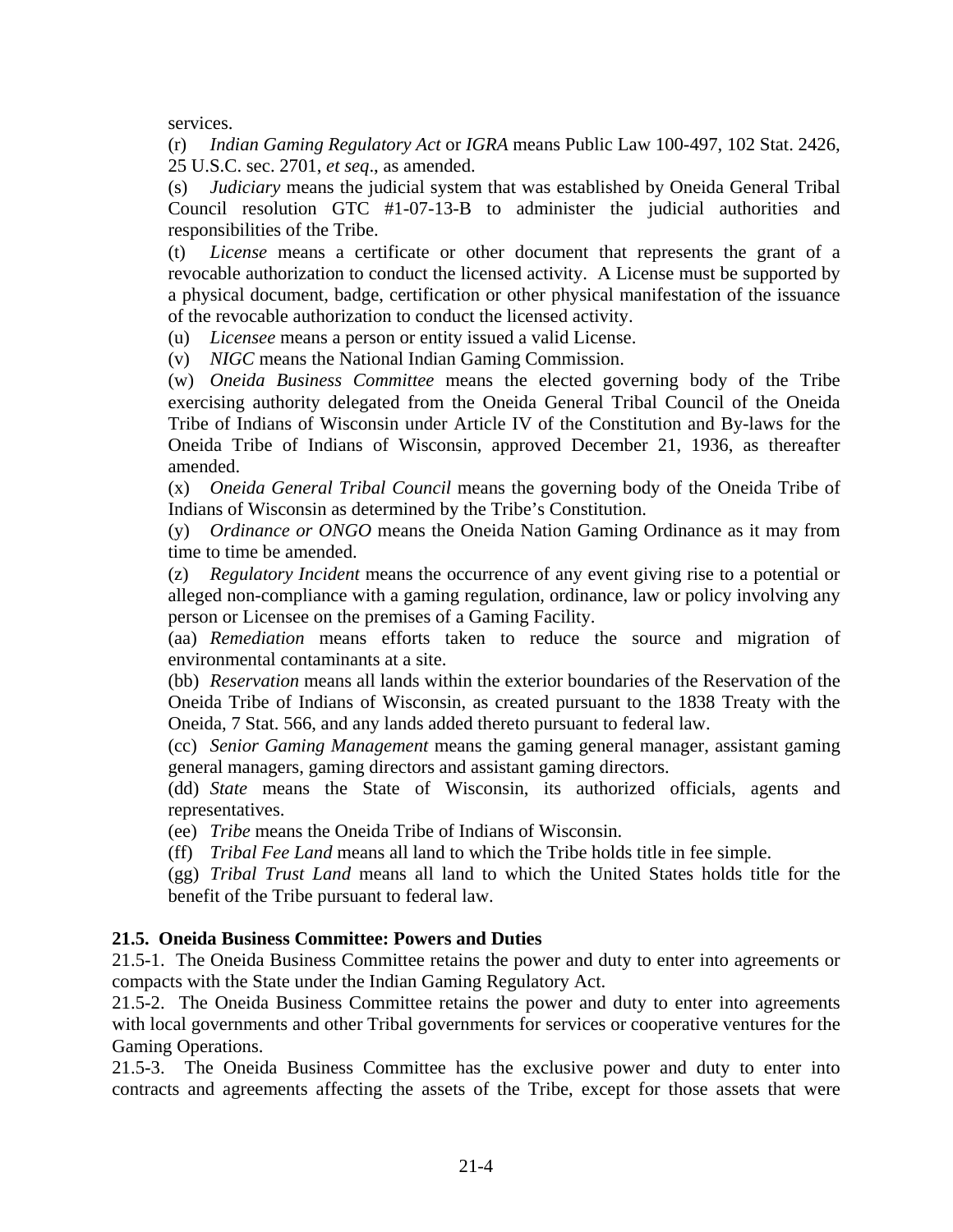services.

(r) *Indian Gaming Regulatory Act* or *IGRA* means Public Law 100-497, 102 Stat. 2426, 25 U.S.C. sec. 2701, *et seq*., as amended.

(s) *Judiciary* means the judicial system that was established by Oneida General Tribal Council resolution GTC #1-07-13-B to administer the judicial authorities and responsibilities of the Tribe.

(t) *License* means a certificate or other document that represents the grant of a revocable authorization to conduct the licensed activity. A License must be supported by a physical document, badge, certification or other physical manifestation of the issuance of the revocable authorization to conduct the licensed activity.

(u) *Licensee* means a person or entity issued a valid License.

(v) *NIGC* means the National Indian Gaming Commission.

(w) *Oneida Business Committee* means the elected governing body of the Tribe exercising authority delegated from the Oneida General Tribal Council of the Oneida Tribe of Indians of Wisconsin under Article IV of the Constitution and By-laws for the Oneida Tribe of Indians of Wisconsin, approved December 21, 1936, as thereafter amended.

(x) *Oneida General Tribal Council* means the governing body of the Oneida Tribe of Indians of Wisconsin as determined by the Tribe's Constitution.

(y) *Ordinance or ONGO* means the Oneida Nation Gaming Ordinance as it may from time to time be amended.

(z) *Regulatory Incident* means the occurrence of any event giving rise to a potential or alleged non-compliance with a gaming regulation, ordinance, law or policy involving any person or Licensee on the premises of a Gaming Facility.

(aa) *Remediation* means efforts taken to reduce the source and migration of environmental contaminants at a site.

(bb) *Reservation* means all lands within the exterior boundaries of the Reservation of the Oneida Tribe of Indians of Wisconsin, as created pursuant to the 1838 Treaty with the Oneida, 7 Stat. 566, and any lands added thereto pursuant to federal law.

(cc) *Senior Gaming Management* means the gaming general manager, assistant gaming general managers, gaming directors and assistant gaming directors.

(dd) *State* means the State of Wisconsin, its authorized officials, agents and representatives.

(ee) *Tribe* means the Oneida Tribe of Indians of Wisconsin.

(ff) *Tribal Fee Land* means all land to which the Tribe holds title in fee simple.

(gg) *Tribal Trust Land* means all land to which the United States holds title for the benefit of the Tribe pursuant to federal law.

#### **21.5. Oneida Business Committee: Powers and Duties**

21.5-1. The Oneida Business Committee retains the power and duty to enter into agreements or compacts with the State under the Indian Gaming Regulatory Act.

21.5-2. The Oneida Business Committee retains the power and duty to enter into agreements with local governments and other Tribal governments for services or cooperative ventures for the Gaming Operations.

21.5-3. The Oneida Business Committee has the exclusive power and duty to enter into contracts and agreements affecting the assets of the Tribe, except for those assets that were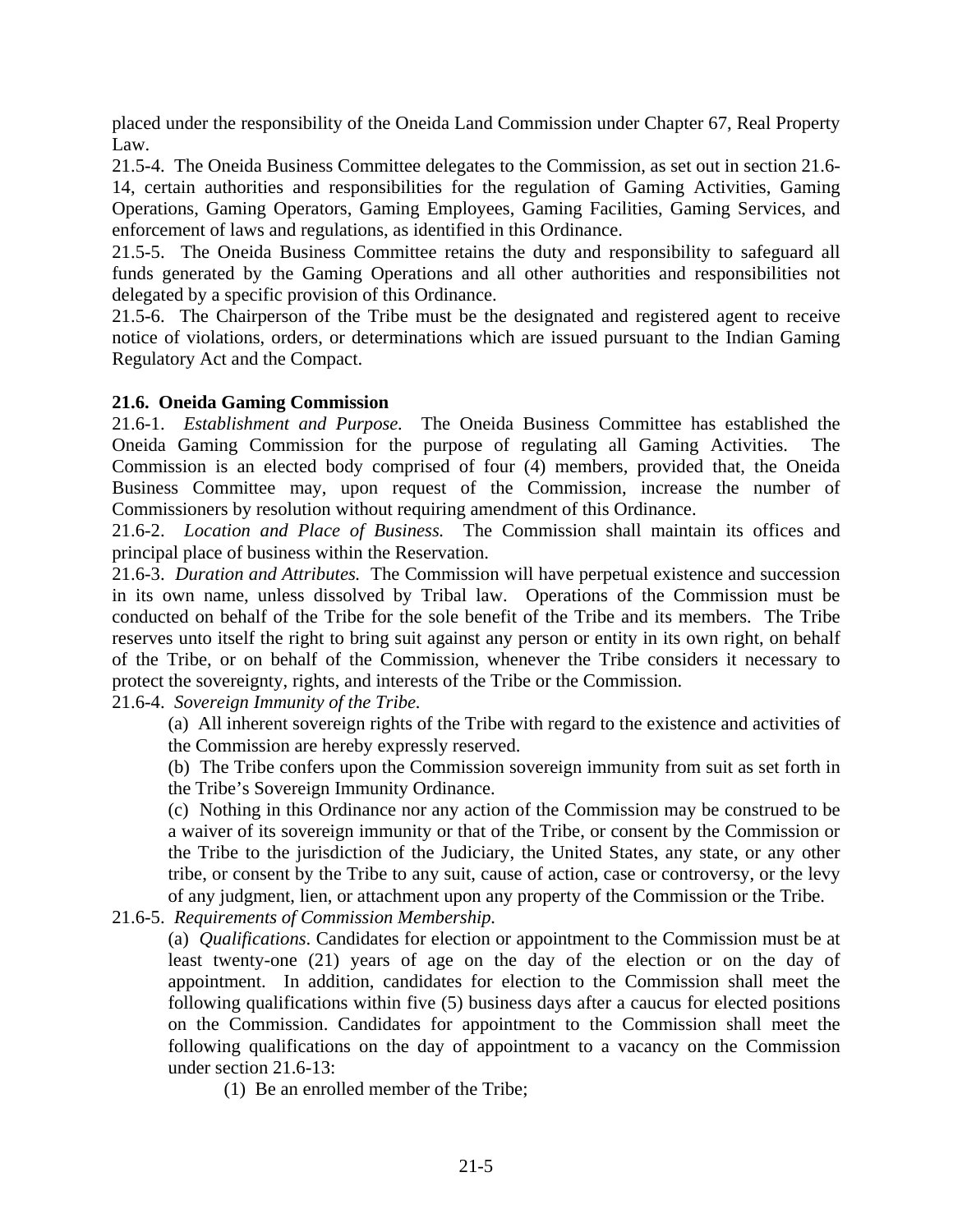placed under the responsibility of the Oneida Land Commission under Chapter 67, Real Property Law.

21.5-4. The Oneida Business Committee delegates to the Commission, as set out in section 21.6- 14, certain authorities and responsibilities for the regulation of Gaming Activities, Gaming Operations, Gaming Operators, Gaming Employees, Gaming Facilities, Gaming Services, and enforcement of laws and regulations, as identified in this Ordinance.

21.5-5. The Oneida Business Committee retains the duty and responsibility to safeguard all funds generated by the Gaming Operations and all other authorities and responsibilities not delegated by a specific provision of this Ordinance.

21.5-6. The Chairperson of the Tribe must be the designated and registered agent to receive notice of violations, orders, or determinations which are issued pursuant to the Indian Gaming Regulatory Act and the Compact.

#### **21.6. Oneida Gaming Commission**

21.6-1. *Establishment and Purpose.* The Oneida Business Committee has established the Oneida Gaming Commission for the purpose of regulating all Gaming Activities. The Commission is an elected body comprised of four (4) members, provided that, the Oneida Business Committee may, upon request of the Commission, increase the number of Commissioners by resolution without requiring amendment of this Ordinance.

21.6-2. *Location and Place of Business.* The Commission shall maintain its offices and principal place of business within the Reservation.

21.6-3. *Duration and Attributes.* The Commission will have perpetual existence and succession in its own name, unless dissolved by Tribal law. Operations of the Commission must be conducted on behalf of the Tribe for the sole benefit of the Tribe and its members. The Tribe reserves unto itself the right to bring suit against any person or entity in its own right, on behalf of the Tribe, or on behalf of the Commission, whenever the Tribe considers it necessary to protect the sovereignty, rights, and interests of the Tribe or the Commission.

21.6-4. *Sovereign Immunity of the Tribe.*

(a) All inherent sovereign rights of the Tribe with regard to the existence and activities of the Commission are hereby expressly reserved.

(b) The Tribe confers upon the Commission sovereign immunity from suit as set forth in the Tribe's Sovereign Immunity Ordinance.

(c) Nothing in this Ordinance nor any action of the Commission may be construed to be a waiver of its sovereign immunity or that of the Tribe, or consent by the Commission or the Tribe to the jurisdiction of the Judiciary, the United States, any state, or any other tribe, or consent by the Tribe to any suit, cause of action, case or controversy, or the levy of any judgment, lien, or attachment upon any property of the Commission or the Tribe.

21.6-5. *Requirements of Commission Membership.*

(a) *Qualifications*. Candidates for election or appointment to the Commission must be at least twenty-one (21) years of age on the day of the election or on the day of appointment. In addition, candidates for election to the Commission shall meet the following qualifications within five (5) business days after a caucus for elected positions on the Commission. Candidates for appointment to the Commission shall meet the following qualifications on the day of appointment to a vacancy on the Commission under section 21.6-13:

(1) Be an enrolled member of the Tribe;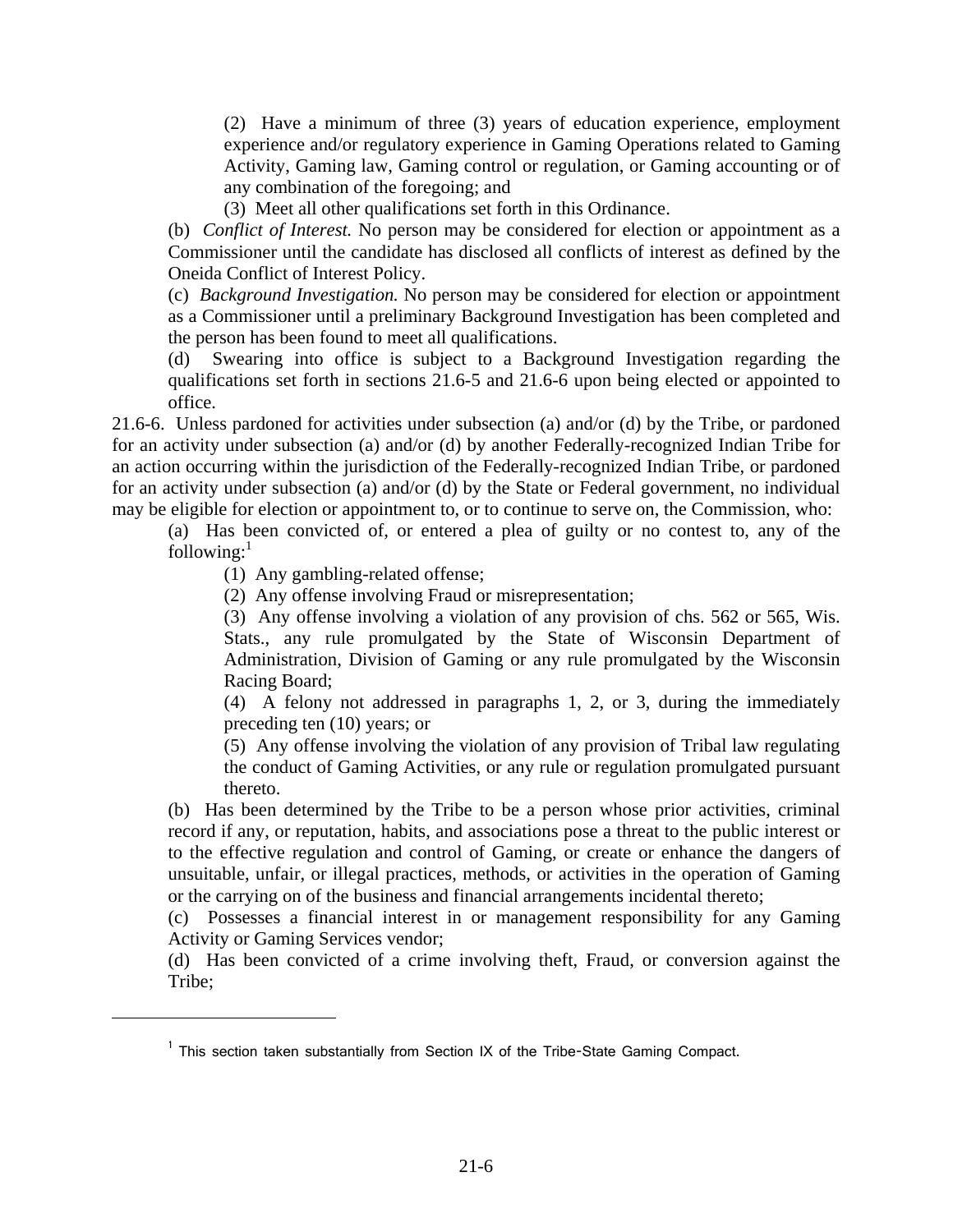(2) Have a minimum of three (3) years of education experience, employment experience and/or regulatory experience in Gaming Operations related to Gaming Activity, Gaming law, Gaming control or regulation, or Gaming accounting or of any combination of the foregoing; and

(3) Meet all other qualifications set forth in this Ordinance.

(b) *Conflict of Interest.* No person may be considered for election or appointment as a Commissioner until the candidate has disclosed all conflicts of interest as defined by the Oneida Conflict of Interest Policy.

(c) *Background Investigation.* No person may be considered for election or appointment as a Commissioner until a preliminary Background Investigation has been completed and the person has been found to meet all qualifications.

(d) Swearing into office is subject to a Background Investigation regarding the qualifications set forth in sections 21.6-5 and 21.6-6 upon being elected or appointed to office.

21.6-6. Unless pardoned for activities under subsection (a) and/or (d) by the Tribe, or pardoned for an activity under subsection (a) and/or (d) by another Federally-recognized Indian Tribe for an action occurring within the jurisdiction of the Federally-recognized Indian Tribe, or pardoned for an activity under subsection (a) and/or (d) by the State or Federal government, no individual may be eligible for election or appointment to, or to continue to serve on, the Commission, who:

(a) Has been convicted of, or entered a plea of guilty or no contest to, any of the following: $<sup>1</sup>$ </sup>

(1) Any gambling-related offense;

i

(2) Any offense involving Fraud or misrepresentation;

(3) Any offense involving a violation of any provision of chs. 562 or 565, Wis. Stats., any rule promulgated by the State of Wisconsin Department of Administration, Division of Gaming or any rule promulgated by the Wisconsin Racing Board;

(4) A felony not addressed in paragraphs 1, 2, or 3, during the immediately preceding ten (10) years; or

(5) Any offense involving the violation of any provision of Tribal law regulating the conduct of Gaming Activities, or any rule or regulation promulgated pursuant thereto.

(b) Has been determined by the Tribe to be a person whose prior activities, criminal record if any, or reputation, habits, and associations pose a threat to the public interest or to the effective regulation and control of Gaming, or create or enhance the dangers of unsuitable, unfair, or illegal practices, methods, or activities in the operation of Gaming or the carrying on of the business and financial arrangements incidental thereto;

(c) Possesses a financial interest in or management responsibility for any Gaming Activity or Gaming Services vendor;

(d) Has been convicted of a crime involving theft, Fraud, or conversion against the Tribe;

<sup>&</sup>lt;sup>1</sup> This section taken substantially from Section IX of the Tribe-State Gaming Compact.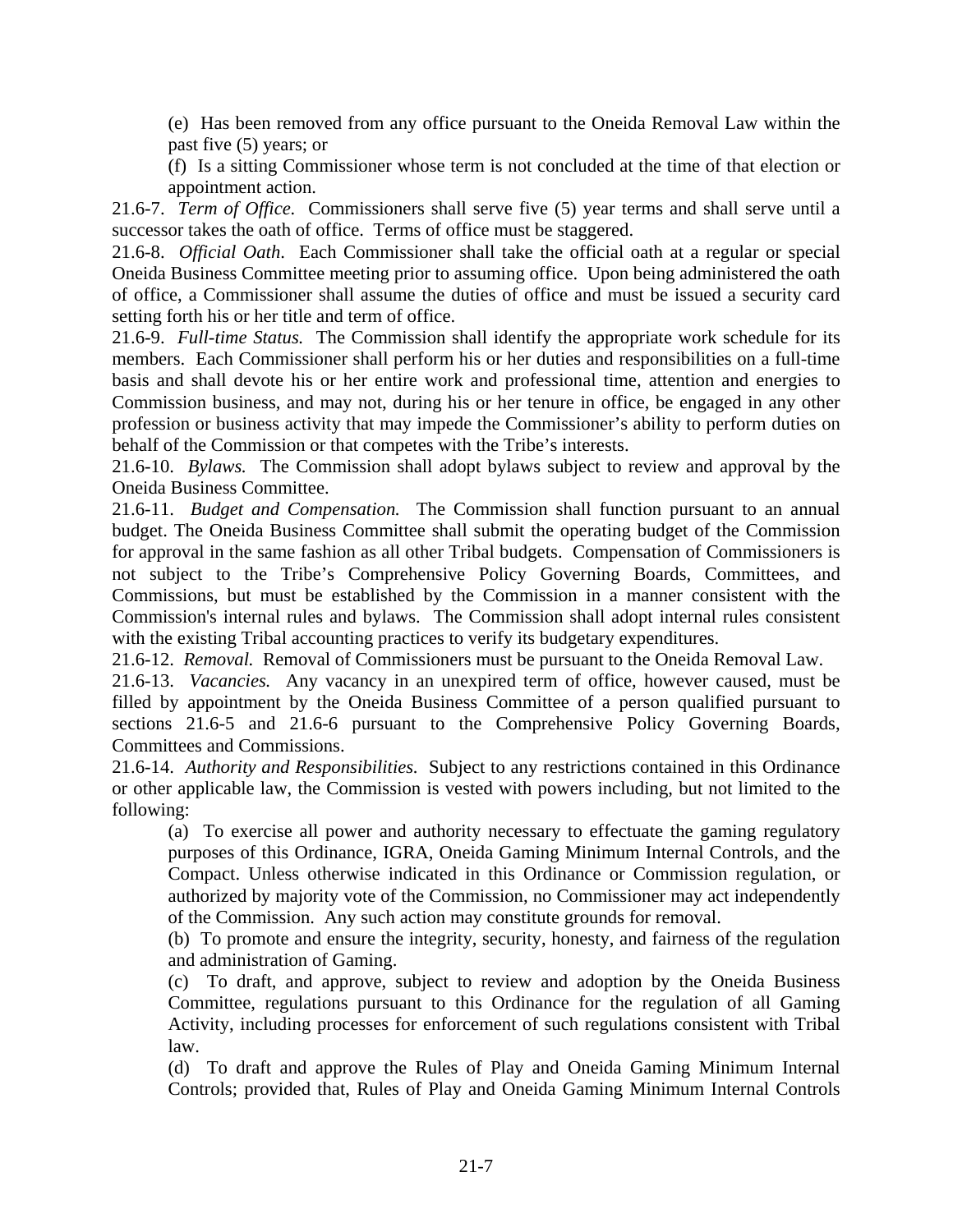(e) Has been removed from any office pursuant to the Oneida Removal Law within the past five (5) years; or

(f) Is a sitting Commissioner whose term is not concluded at the time of that election or appointment action.

21.6-7. *Term of Office.* Commissioners shall serve five (5) year terms and shall serve until a successor takes the oath of office. Terms of office must be staggered.

21.6-8. *Official Oath*. Each Commissioner shall take the official oath at a regular or special Oneida Business Committee meeting prior to assuming office. Upon being administered the oath of office, a Commissioner shall assume the duties of office and must be issued a security card setting forth his or her title and term of office.

21.6-9. *Full-time Status.* The Commission shall identify the appropriate work schedule for its members. Each Commissioner shall perform his or her duties and responsibilities on a full-time basis and shall devote his or her entire work and professional time, attention and energies to Commission business, and may not, during his or her tenure in office, be engaged in any other profession or business activity that may impede the Commissioner's ability to perform duties on behalf of the Commission or that competes with the Tribe's interests.

21.6-10. *Bylaws.* The Commission shall adopt bylaws subject to review and approval by the Oneida Business Committee.

21.6-11. *Budget and Compensation.* The Commission shall function pursuant to an annual budget. The Oneida Business Committee shall submit the operating budget of the Commission for approval in the same fashion as all other Tribal budgets. Compensation of Commissioners is not subject to the Tribe's Comprehensive Policy Governing Boards, Committees, and Commissions, but must be established by the Commission in a manner consistent with the Commission's internal rules and bylaws. The Commission shall adopt internal rules consistent with the existing Tribal accounting practices to verify its budgetary expenditures.

21.6-12. *Removal.* Removal of Commissioners must be pursuant to the Oneida Removal Law.

21.6-13. *Vacancies.* Any vacancy in an unexpired term of office, however caused, must be filled by appointment by the Oneida Business Committee of a person qualified pursuant to sections 21.6-5 and 21.6-6 pursuant to the Comprehensive Policy Governing Boards, Committees and Commissions.

21.6-14. *Authority and Responsibilities.* Subject to any restrictions contained in this Ordinance or other applicable law, the Commission is vested with powers including, but not limited to the following:

(a) To exercise all power and authority necessary to effectuate the gaming regulatory purposes of this Ordinance, IGRA, Oneida Gaming Minimum Internal Controls, and the Compact. Unless otherwise indicated in this Ordinance or Commission regulation, or authorized by majority vote of the Commission, no Commissioner may act independently of the Commission. Any such action may constitute grounds for removal.

(b) To promote and ensure the integrity, security, honesty, and fairness of the regulation and administration of Gaming.

(c) To draft, and approve, subject to review and adoption by the Oneida Business Committee, regulations pursuant to this Ordinance for the regulation of all Gaming Activity, including processes for enforcement of such regulations consistent with Tribal law.

(d) To draft and approve the Rules of Play and Oneida Gaming Minimum Internal Controls; provided that, Rules of Play and Oneida Gaming Minimum Internal Controls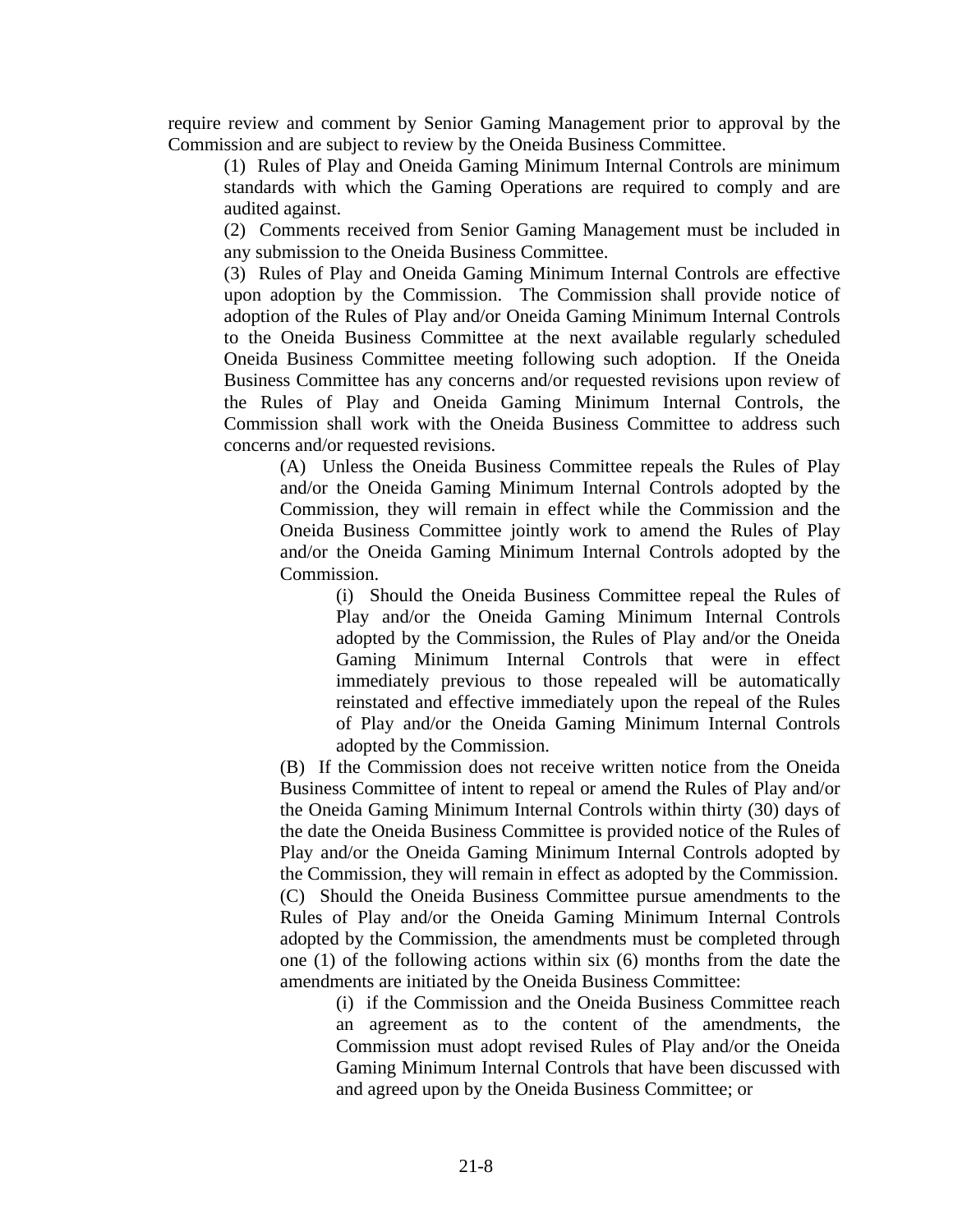require review and comment by Senior Gaming Management prior to approval by the Commission and are subject to review by the Oneida Business Committee.

(1) Rules of Play and Oneida Gaming Minimum Internal Controls are minimum standards with which the Gaming Operations are required to comply and are audited against.

(2) Comments received from Senior Gaming Management must be included in any submission to the Oneida Business Committee.

(3) Rules of Play and Oneida Gaming Minimum Internal Controls are effective upon adoption by the Commission. The Commission shall provide notice of adoption of the Rules of Play and/or Oneida Gaming Minimum Internal Controls to the Oneida Business Committee at the next available regularly scheduled Oneida Business Committee meeting following such adoption. If the Oneida Business Committee has any concerns and/or requested revisions upon review of the Rules of Play and Oneida Gaming Minimum Internal Controls, the Commission shall work with the Oneida Business Committee to address such concerns and/or requested revisions.

(A) Unless the Oneida Business Committee repeals the Rules of Play and/or the Oneida Gaming Minimum Internal Controls adopted by the Commission, they will remain in effect while the Commission and the Oneida Business Committee jointly work to amend the Rules of Play and/or the Oneida Gaming Minimum Internal Controls adopted by the Commission.

(i) Should the Oneida Business Committee repeal the Rules of Play and/or the Oneida Gaming Minimum Internal Controls adopted by the Commission, the Rules of Play and/or the Oneida Gaming Minimum Internal Controls that were in effect immediately previous to those repealed will be automatically reinstated and effective immediately upon the repeal of the Rules of Play and/or the Oneida Gaming Minimum Internal Controls adopted by the Commission.

(B) If the Commission does not receive written notice from the Oneida Business Committee of intent to repeal or amend the Rules of Play and/or the Oneida Gaming Minimum Internal Controls within thirty (30) days of the date the Oneida Business Committee is provided notice of the Rules of Play and/or the Oneida Gaming Minimum Internal Controls adopted by the Commission, they will remain in effect as adopted by the Commission. (C) Should the Oneida Business Committee pursue amendments to the Rules of Play and/or the Oneida Gaming Minimum Internal Controls adopted by the Commission, the amendments must be completed through one (1) of the following actions within six (6) months from the date the amendments are initiated by the Oneida Business Committee:

(i) if the Commission and the Oneida Business Committee reach an agreement as to the content of the amendments, the Commission must adopt revised Rules of Play and/or the Oneida Gaming Minimum Internal Controls that have been discussed with and agreed upon by the Oneida Business Committee; or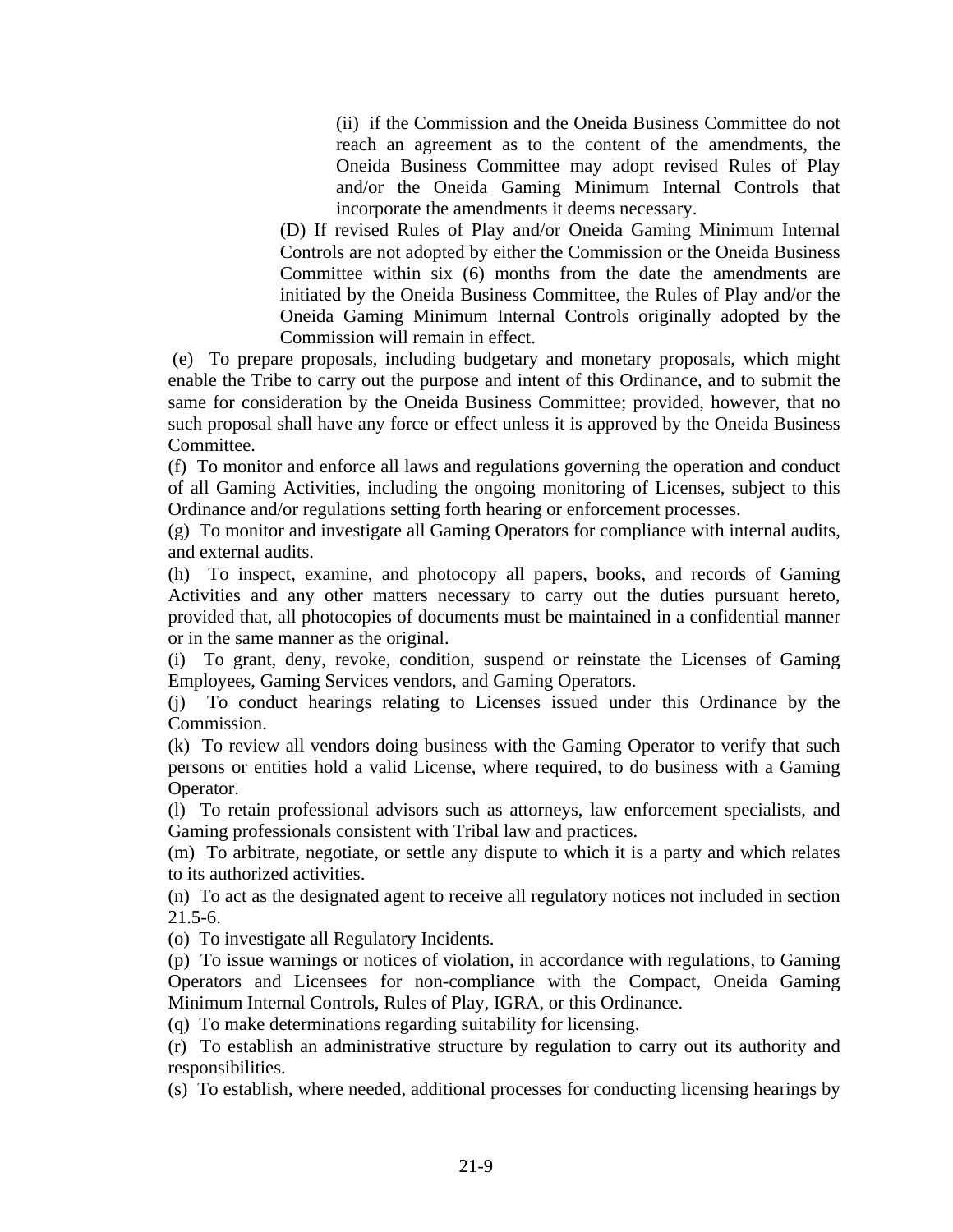(ii) if the Commission and the Oneida Business Committee do not reach an agreement as to the content of the amendments, the Oneida Business Committee may adopt revised Rules of Play and/or the Oneida Gaming Minimum Internal Controls that incorporate the amendments it deems necessary.

(D) If revised Rules of Play and/or Oneida Gaming Minimum Internal Controls are not adopted by either the Commission or the Oneida Business Committee within six (6) months from the date the amendments are initiated by the Oneida Business Committee, the Rules of Play and/or the Oneida Gaming Minimum Internal Controls originally adopted by the Commission will remain in effect.

 (e) To prepare proposals, including budgetary and monetary proposals, which might enable the Tribe to carry out the purpose and intent of this Ordinance, and to submit the same for consideration by the Oneida Business Committee; provided, however, that no such proposal shall have any force or effect unless it is approved by the Oneida Business Committee.

(f) To monitor and enforce all laws and regulations governing the operation and conduct of all Gaming Activities, including the ongoing monitoring of Licenses, subject to this Ordinance and/or regulations setting forth hearing or enforcement processes.

(g) To monitor and investigate all Gaming Operators for compliance with internal audits, and external audits.

(h) To inspect, examine, and photocopy all papers, books, and records of Gaming Activities and any other matters necessary to carry out the duties pursuant hereto, provided that, all photocopies of documents must be maintained in a confidential manner or in the same manner as the original.

(i) To grant, deny, revoke, condition, suspend or reinstate the Licenses of Gaming Employees, Gaming Services vendors, and Gaming Operators.

(j) To conduct hearings relating to Licenses issued under this Ordinance by the Commission.

(k) To review all vendors doing business with the Gaming Operator to verify that such persons or entities hold a valid License, where required, to do business with a Gaming Operator.

(l) To retain professional advisors such as attorneys, law enforcement specialists, and Gaming professionals consistent with Tribal law and practices.

(m) To arbitrate, negotiate, or settle any dispute to which it is a party and which relates to its authorized activities.

(n) To act as the designated agent to receive all regulatory notices not included in section 21.5-6.

(o) To investigate all Regulatory Incidents.

(p) To issue warnings or notices of violation, in accordance with regulations, to Gaming Operators and Licensees for non-compliance with the Compact, Oneida Gaming Minimum Internal Controls, Rules of Play, IGRA, or this Ordinance.

(q) To make determinations regarding suitability for licensing.

(r) To establish an administrative structure by regulation to carry out its authority and responsibilities.

(s) To establish, where needed, additional processes for conducting licensing hearings by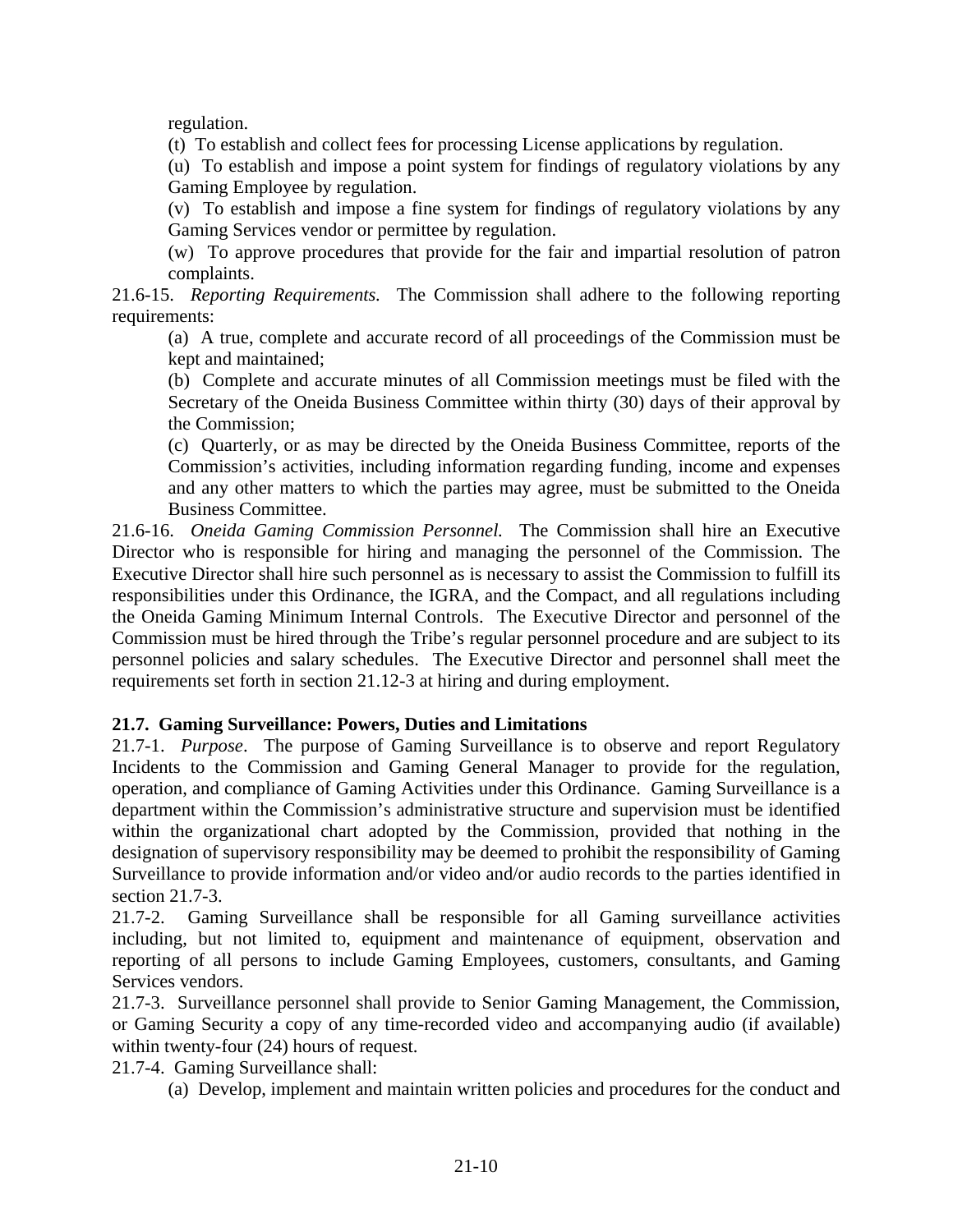regulation.

(t) To establish and collect fees for processing License applications by regulation.

(u) To establish and impose a point system for findings of regulatory violations by any Gaming Employee by regulation.

(v) To establish and impose a fine system for findings of regulatory violations by any Gaming Services vendor or permittee by regulation.

(w) To approve procedures that provide for the fair and impartial resolution of patron complaints.

21.6-15. *Reporting Requirements.* The Commission shall adhere to the following reporting requirements:

(a) A true, complete and accurate record of all proceedings of the Commission must be kept and maintained;

(b) Complete and accurate minutes of all Commission meetings must be filed with the Secretary of the Oneida Business Committee within thirty (30) days of their approval by the Commission;

(c) Quarterly, or as may be directed by the Oneida Business Committee, reports of the Commission's activities, including information regarding funding, income and expenses and any other matters to which the parties may agree, must be submitted to the Oneida Business Committee.

21.6-16. *Oneida Gaming Commission Personnel.* The Commission shall hire an Executive Director who is responsible for hiring and managing the personnel of the Commission. The Executive Director shall hire such personnel as is necessary to assist the Commission to fulfill its responsibilities under this Ordinance, the IGRA, and the Compact, and all regulations including the Oneida Gaming Minimum Internal Controls. The Executive Director and personnel of the Commission must be hired through the Tribe's regular personnel procedure and are subject to its personnel policies and salary schedules. The Executive Director and personnel shall meet the requirements set forth in section 21.12-3 at hiring and during employment.

# **21.7. Gaming Surveillance: Powers, Duties and Limitations**

21.7-1. *Purpose*. The purpose of Gaming Surveillance is to observe and report Regulatory Incidents to the Commission and Gaming General Manager to provide for the regulation, operation, and compliance of Gaming Activities under this Ordinance. Gaming Surveillance is a department within the Commission's administrative structure and supervision must be identified within the organizational chart adopted by the Commission, provided that nothing in the designation of supervisory responsibility may be deemed to prohibit the responsibility of Gaming Surveillance to provide information and/or video and/or audio records to the parties identified in section 21.7-3.

21.7-2. Gaming Surveillance shall be responsible for all Gaming surveillance activities including, but not limited to, equipment and maintenance of equipment, observation and reporting of all persons to include Gaming Employees, customers, consultants, and Gaming Services vendors.

21.7-3. Surveillance personnel shall provide to Senior Gaming Management, the Commission, or Gaming Security a copy of any time-recorded video and accompanying audio (if available) within twenty-four (24) hours of request.

21.7-4. Gaming Surveillance shall:

(a) Develop, implement and maintain written policies and procedures for the conduct and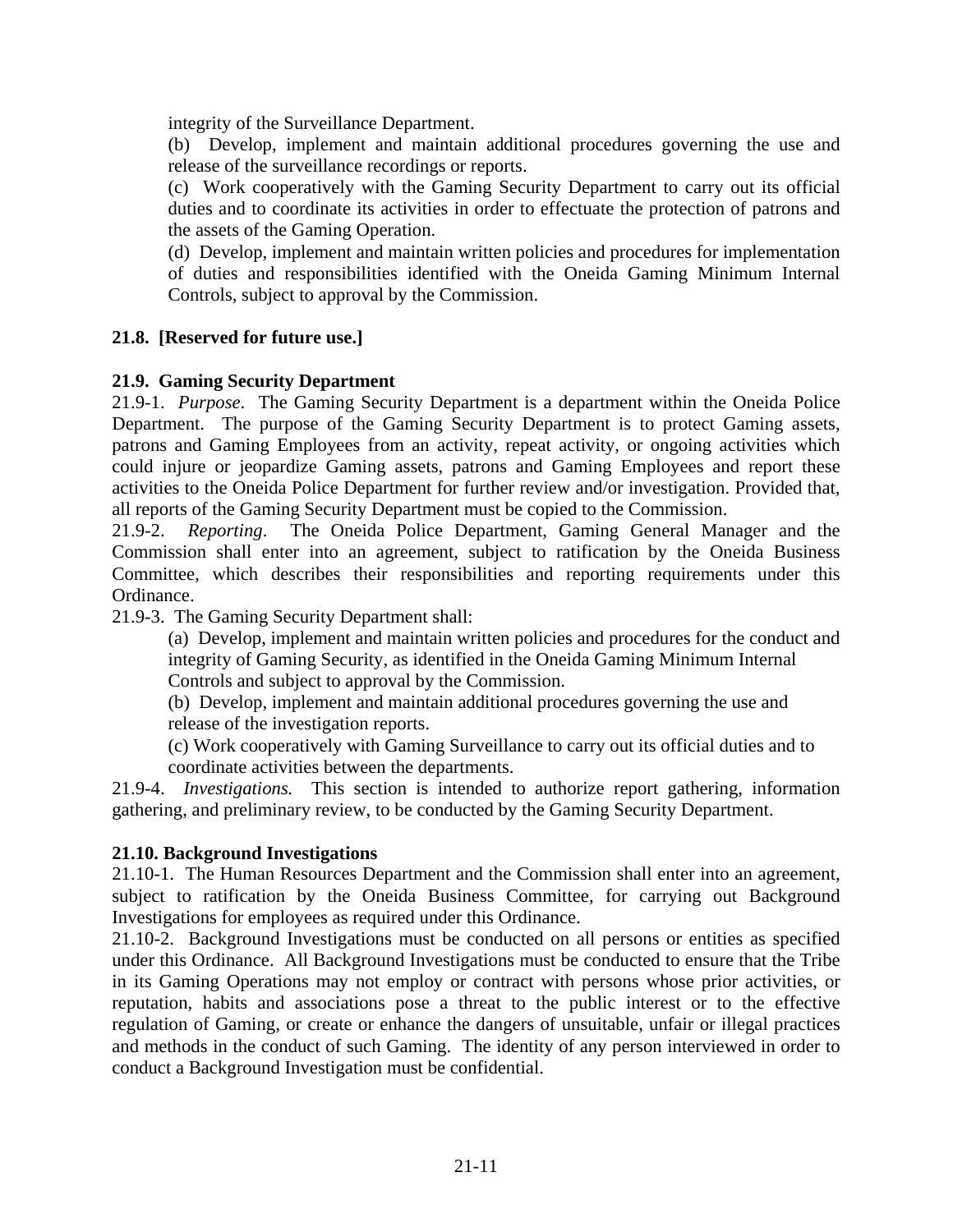integrity of the Surveillance Department.

(b) Develop, implement and maintain additional procedures governing the use and release of the surveillance recordings or reports.

(c) Work cooperatively with the Gaming Security Department to carry out its official duties and to coordinate its activities in order to effectuate the protection of patrons and the assets of the Gaming Operation.

(d) Develop, implement and maintain written policies and procedures for implementation of duties and responsibilities identified with the Oneida Gaming Minimum Internal Controls, subject to approval by the Commission.

## **21.8. [Reserved for future use.]**

#### **21.9. Gaming Security Department**

21.9-1. *Purpose*. The Gaming Security Department is a department within the Oneida Police Department. The purpose of the Gaming Security Department is to protect Gaming assets, patrons and Gaming Employees from an activity, repeat activity, or ongoing activities which could injure or jeopardize Gaming assets, patrons and Gaming Employees and report these activities to the Oneida Police Department for further review and/or investigation. Provided that, all reports of the Gaming Security Department must be copied to the Commission.

21.9-2. *Reporting*. The Oneida Police Department, Gaming General Manager and the Commission shall enter into an agreement, subject to ratification by the Oneida Business Committee, which describes their responsibilities and reporting requirements under this Ordinance.

21.9-3. The Gaming Security Department shall:

(a) Develop, implement and maintain written policies and procedures for the conduct and integrity of Gaming Security, as identified in the Oneida Gaming Minimum Internal Controls and subject to approval by the Commission.

(b) Develop, implement and maintain additional procedures governing the use and release of the investigation reports.

(c) Work cooperatively with Gaming Surveillance to carry out its official duties and to coordinate activities between the departments.

21.9-4. *Investigations.* This section is intended to authorize report gathering, information gathering, and preliminary review, to be conducted by the Gaming Security Department.

#### **21.10. Background Investigations**

21.10-1. The Human Resources Department and the Commission shall enter into an agreement, subject to ratification by the Oneida Business Committee, for carrying out Background Investigations for employees as required under this Ordinance.

21.10-2. Background Investigations must be conducted on all persons or entities as specified under this Ordinance. All Background Investigations must be conducted to ensure that the Tribe in its Gaming Operations may not employ or contract with persons whose prior activities, or reputation, habits and associations pose a threat to the public interest or to the effective regulation of Gaming, or create or enhance the dangers of unsuitable, unfair or illegal practices and methods in the conduct of such Gaming. The identity of any person interviewed in order to conduct a Background Investigation must be confidential.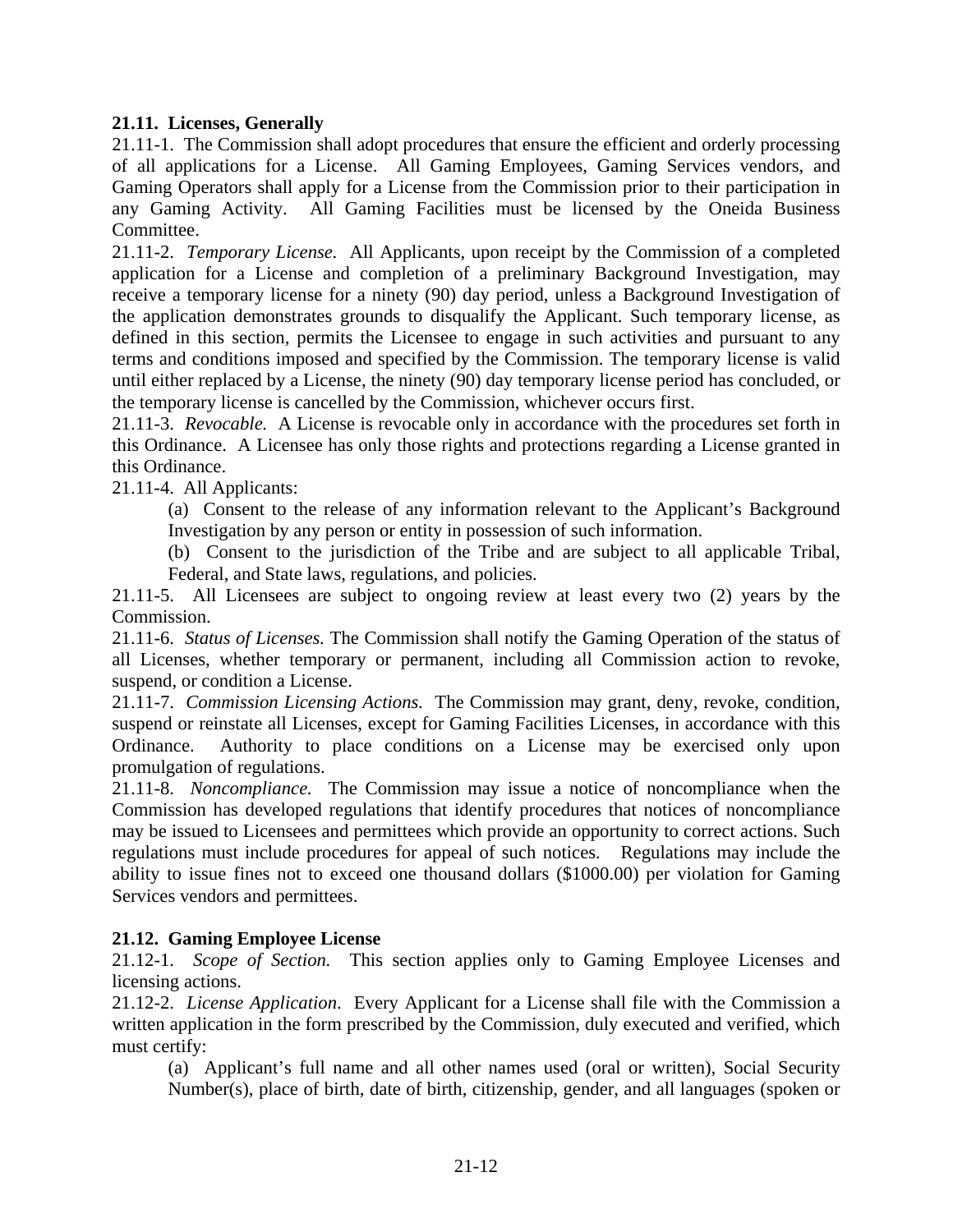## **21.11. Licenses, Generally**

21.11-1. The Commission shall adopt procedures that ensure the efficient and orderly processing of all applications for a License. All Gaming Employees, Gaming Services vendors, and Gaming Operators shall apply for a License from the Commission prior to their participation in any Gaming Activity. All Gaming Facilities must be licensed by the Oneida Business Committee.

21.11-2. *Temporary License.* All Applicants, upon receipt by the Commission of a completed application for a License and completion of a preliminary Background Investigation, may receive a temporary license for a ninety (90) day period, unless a Background Investigation of the application demonstrates grounds to disqualify the Applicant. Such temporary license, as defined in this section, permits the Licensee to engage in such activities and pursuant to any terms and conditions imposed and specified by the Commission. The temporary license is valid until either replaced by a License, the ninety (90) day temporary license period has concluded, or the temporary license is cancelled by the Commission, whichever occurs first.

21.11-3. *Revocable.* A License is revocable only in accordance with the procedures set forth in this Ordinance. A Licensee has only those rights and protections regarding a License granted in this Ordinance.

21.11-4. All Applicants:

(a) Consent to the release of any information relevant to the Applicant's Background Investigation by any person or entity in possession of such information.

(b) Consent to the jurisdiction of the Tribe and are subject to all applicable Tribal, Federal, and State laws, regulations, and policies.

21.11-5. All Licensees are subject to ongoing review at least every two (2) years by the Commission.

21.11-6. *Status of Licenses.* The Commission shall notify the Gaming Operation of the status of all Licenses, whether temporary or permanent, including all Commission action to revoke, suspend, or condition a License.

21.11-7. *Commission Licensing Actions.* The Commission may grant, deny, revoke, condition, suspend or reinstate all Licenses, except for Gaming Facilities Licenses, in accordance with this Ordinance. Authority to place conditions on a License may be exercised only upon promulgation of regulations.

21.11-8. *Noncompliance.* The Commission may issue a notice of noncompliance when the Commission has developed regulations that identify procedures that notices of noncompliance may be issued to Licensees and permittees which provide an opportunity to correct actions. Such regulations must include procedures for appeal of such notices. Regulations may include the ability to issue fines not to exceed one thousand dollars (\$1000.00) per violation for Gaming Services vendors and permittees.

# **21.12. Gaming Employee License**

21.12-1. *Scope of Section.* This section applies only to Gaming Employee Licenses and licensing actions.

21.12-2. *License Application*. Every Applicant for a License shall file with the Commission a written application in the form prescribed by the Commission, duly executed and verified, which must certify:

(a) Applicant's full name and all other names used (oral or written), Social Security Number(s), place of birth, date of birth, citizenship, gender, and all languages (spoken or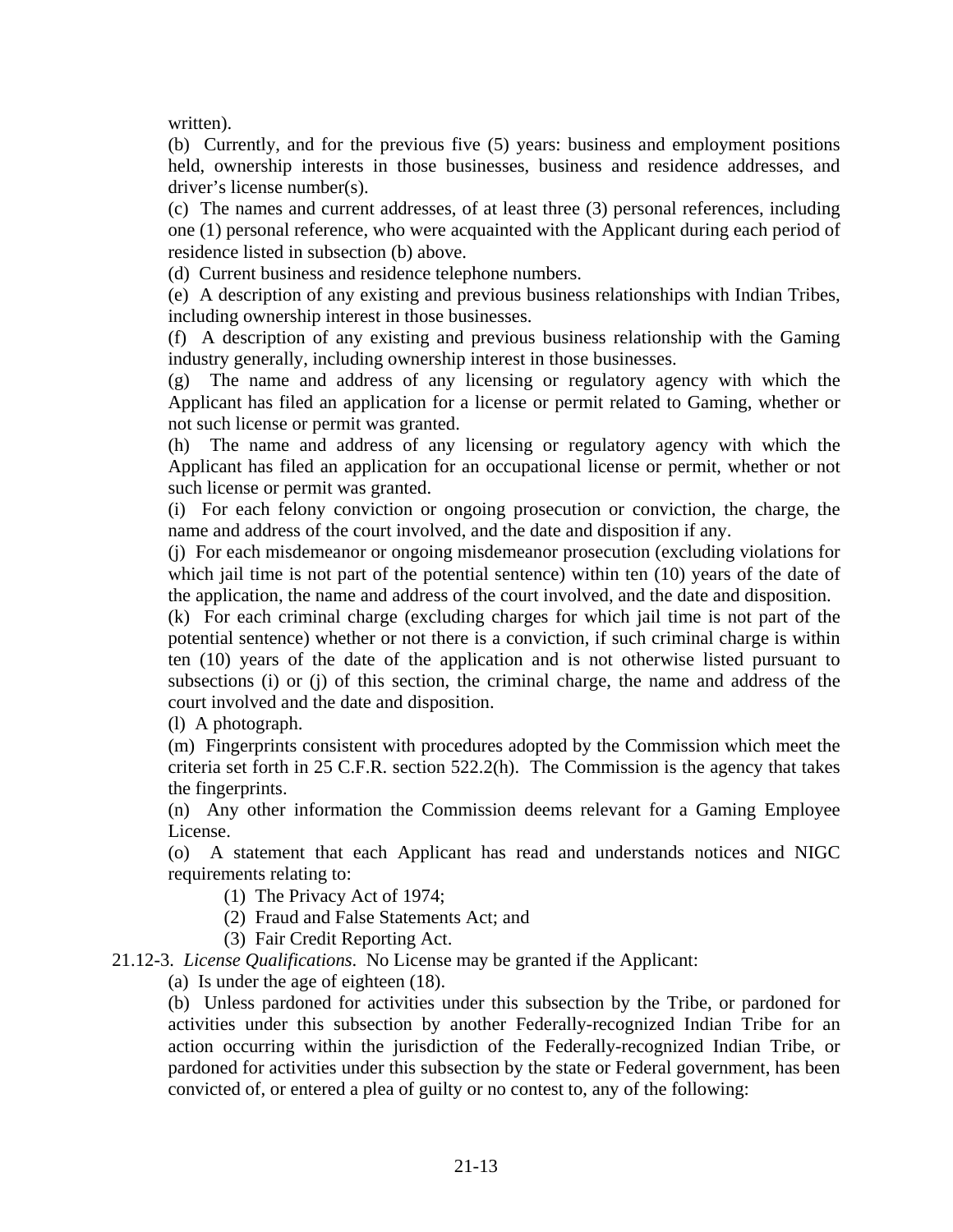written).

(b) Currently, and for the previous five (5) years: business and employment positions held, ownership interests in those businesses, business and residence addresses, and driver's license number(s).

(c) The names and current addresses, of at least three (3) personal references, including one (1) personal reference, who were acquainted with the Applicant during each period of residence listed in subsection (b) above.

(d) Current business and residence telephone numbers.

(e) A description of any existing and previous business relationships with Indian Tribes, including ownership interest in those businesses.

(f) A description of any existing and previous business relationship with the Gaming industry generally, including ownership interest in those businesses.

(g) The name and address of any licensing or regulatory agency with which the Applicant has filed an application for a license or permit related to Gaming, whether or not such license or permit was granted.

(h) The name and address of any licensing or regulatory agency with which the Applicant has filed an application for an occupational license or permit, whether or not such license or permit was granted.

(i) For each felony conviction or ongoing prosecution or conviction, the charge, the name and address of the court involved, and the date and disposition if any.

(j) For each misdemeanor or ongoing misdemeanor prosecution (excluding violations for which jail time is not part of the potential sentence) within ten (10) years of the date of the application, the name and address of the court involved, and the date and disposition.

(k) For each criminal charge (excluding charges for which jail time is not part of the potential sentence) whether or not there is a conviction, if such criminal charge is within ten (10) years of the date of the application and is not otherwise listed pursuant to subsections (i) or (j) of this section, the criminal charge, the name and address of the court involved and the date and disposition.

(l) A photograph.

(m) Fingerprints consistent with procedures adopted by the Commission which meet the criteria set forth in 25 C.F.R. section 522.2(h). The Commission is the agency that takes the fingerprints.

(n) Any other information the Commission deems relevant for a Gaming Employee License.

(o) A statement that each Applicant has read and understands notices and NIGC requirements relating to:

(1) The Privacy Act of 1974;

(2) Fraud and False Statements Act; and

(3) Fair Credit Reporting Act.

21.12-3. *License Qualifications*. No License may be granted if the Applicant:

(a) Is under the age of eighteen (18).

(b) Unless pardoned for activities under this subsection by the Tribe, or pardoned for activities under this subsection by another Federally-recognized Indian Tribe for an action occurring within the jurisdiction of the Federally-recognized Indian Tribe, or pardoned for activities under this subsection by the state or Federal government, has been convicted of, or entered a plea of guilty or no contest to, any of the following: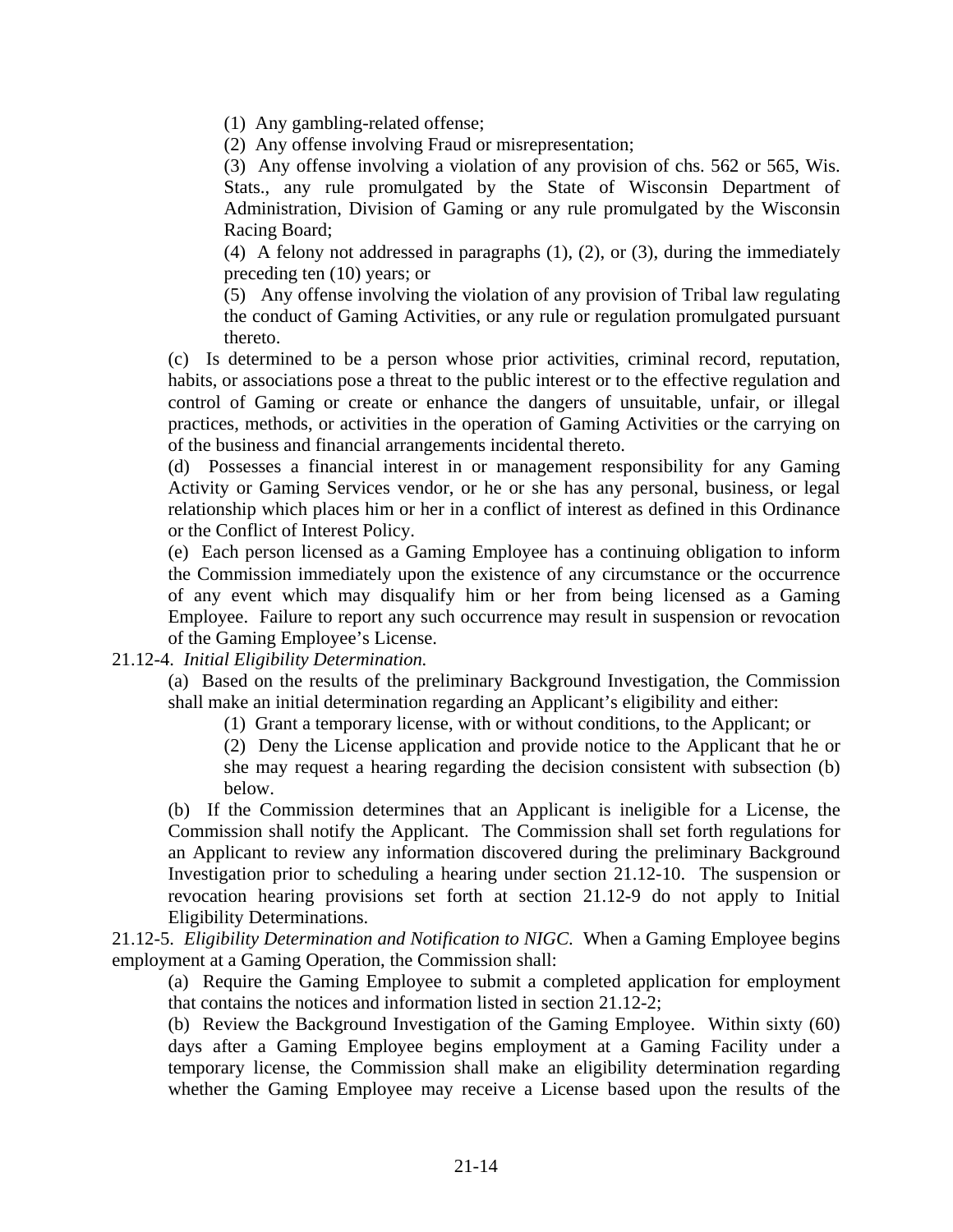(1) Any gambling-related offense;

(2) Any offense involving Fraud or misrepresentation;

(3) Any offense involving a violation of any provision of chs. 562 or 565, Wis. Stats., any rule promulgated by the State of Wisconsin Department of Administration, Division of Gaming or any rule promulgated by the Wisconsin Racing Board;

(4) A felony not addressed in paragraphs (1), (2), or (3), during the immediately preceding ten (10) years; or

(5) Any offense involving the violation of any provision of Tribal law regulating the conduct of Gaming Activities, or any rule or regulation promulgated pursuant thereto.

(c) Is determined to be a person whose prior activities, criminal record, reputation, habits, or associations pose a threat to the public interest or to the effective regulation and control of Gaming or create or enhance the dangers of unsuitable, unfair, or illegal practices, methods, or activities in the operation of Gaming Activities or the carrying on of the business and financial arrangements incidental thereto.

(d) Possesses a financial interest in or management responsibility for any Gaming Activity or Gaming Services vendor, or he or she has any personal, business, or legal relationship which places him or her in a conflict of interest as defined in this Ordinance or the Conflict of Interest Policy.

(e) Each person licensed as a Gaming Employee has a continuing obligation to inform the Commission immediately upon the existence of any circumstance or the occurrence of any event which may disqualify him or her from being licensed as a Gaming Employee. Failure to report any such occurrence may result in suspension or revocation of the Gaming Employee's License.

## 21.12-4. *Initial Eligibility Determination.*

(a) Based on the results of the preliminary Background Investigation, the Commission shall make an initial determination regarding an Applicant's eligibility and either:

(1) Grant a temporary license, with or without conditions, to the Applicant; or

(2) Deny the License application and provide notice to the Applicant that he or she may request a hearing regarding the decision consistent with subsection (b) below.

(b) If the Commission determines that an Applicant is ineligible for a License, the Commission shall notify the Applicant. The Commission shall set forth regulations for an Applicant to review any information discovered during the preliminary Background Investigation prior to scheduling a hearing under section 21.12-10. The suspension or revocation hearing provisions set forth at section 21.12-9 do not apply to Initial Eligibility Determinations.

21.12-5. *Eligibility Determination and Notification to NIGC*. When a Gaming Employee begins employment at a Gaming Operation, the Commission shall:

(a) Require the Gaming Employee to submit a completed application for employment that contains the notices and information listed in section 21.12-2;

(b) Review the Background Investigation of the Gaming Employee. Within sixty (60) days after a Gaming Employee begins employment at a Gaming Facility under a temporary license, the Commission shall make an eligibility determination regarding whether the Gaming Employee may receive a License based upon the results of the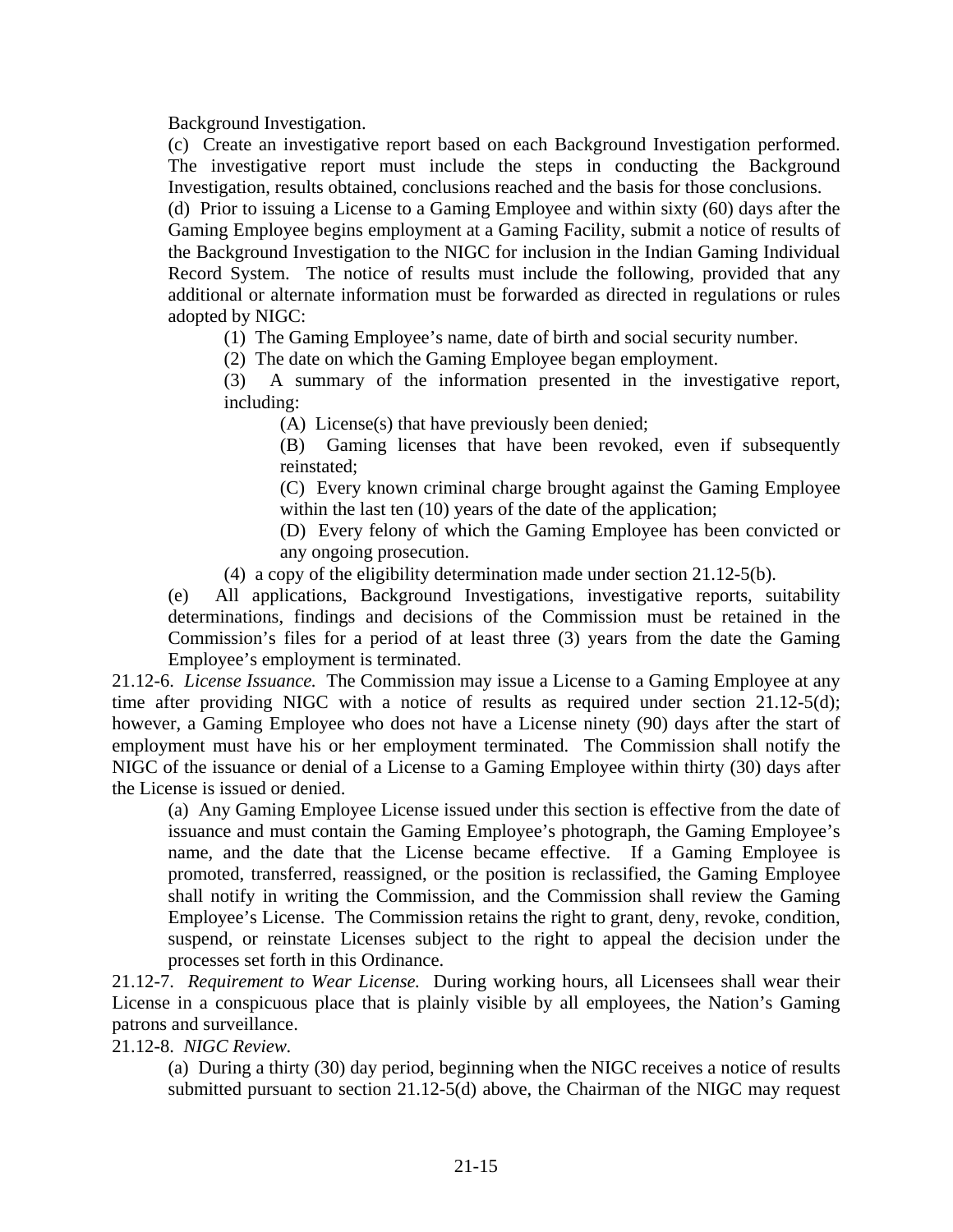Background Investigation.

(c) Create an investigative report based on each Background Investigation performed. The investigative report must include the steps in conducting the Background Investigation, results obtained, conclusions reached and the basis for those conclusions.

(d) Prior to issuing a License to a Gaming Employee and within sixty (60) days after the Gaming Employee begins employment at a Gaming Facility, submit a notice of results of the Background Investigation to the NIGC for inclusion in the Indian Gaming Individual Record System. The notice of results must include the following, provided that any additional or alternate information must be forwarded as directed in regulations or rules adopted by NIGC:

(1) The Gaming Employee's name, date of birth and social security number.

(2) The date on which the Gaming Employee began employment.

(3) A summary of the information presented in the investigative report, including:

(A) License(s) that have previously been denied;

(B) Gaming licenses that have been revoked, even if subsequently reinstated;

(C) Every known criminal charge brought against the Gaming Employee within the last ten (10) years of the date of the application;

(D) Every felony of which the Gaming Employee has been convicted or any ongoing prosecution.

(4) a copy of the eligibility determination made under section 21.12-5(b).

(e) All applications, Background Investigations, investigative reports, suitability determinations, findings and decisions of the Commission must be retained in the Commission's files for a period of at least three (3) years from the date the Gaming Employee's employment is terminated.

21.12-6. *License Issuance.* The Commission may issue a License to a Gaming Employee at any time after providing NIGC with a notice of results as required under section 21.12-5(d); however, a Gaming Employee who does not have a License ninety (90) days after the start of employment must have his or her employment terminated. The Commission shall notify the NIGC of the issuance or denial of a License to a Gaming Employee within thirty (30) days after the License is issued or denied.

(a) Any Gaming Employee License issued under this section is effective from the date of issuance and must contain the Gaming Employee's photograph, the Gaming Employee's name, and the date that the License became effective. If a Gaming Employee is promoted, transferred, reassigned, or the position is reclassified, the Gaming Employee shall notify in writing the Commission, and the Commission shall review the Gaming Employee's License. The Commission retains the right to grant, deny, revoke, condition, suspend, or reinstate Licenses subject to the right to appeal the decision under the processes set forth in this Ordinance.

21.12-7. *Requirement to Wear License.* During working hours, all Licensees shall wear their License in a conspicuous place that is plainly visible by all employees, the Nation's Gaming patrons and surveillance.

21.12-8. *NIGC Review.*

(a) During a thirty (30) day period, beginning when the NIGC receives a notice of results submitted pursuant to section 21.12-5(d) above, the Chairman of the NIGC may request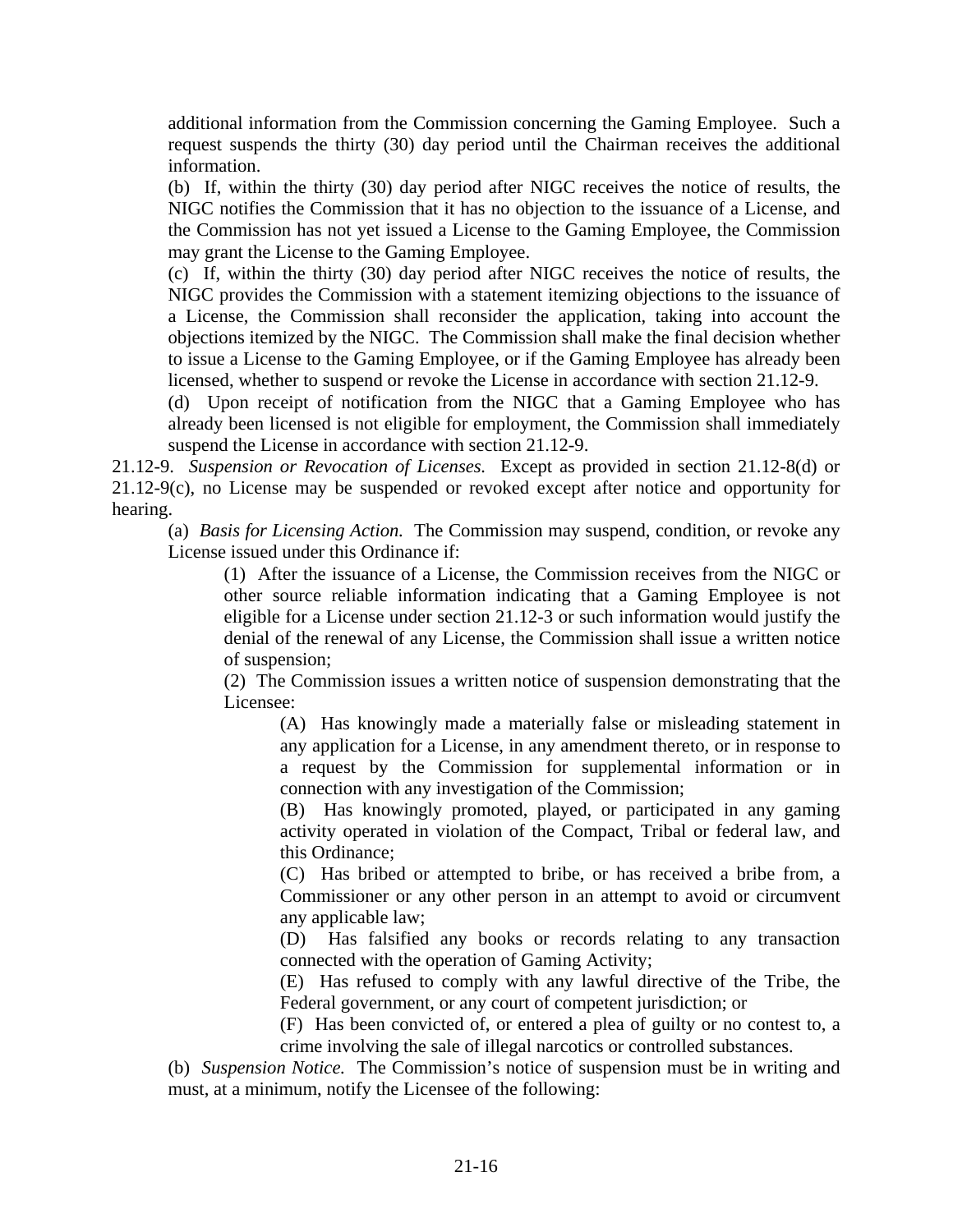additional information from the Commission concerning the Gaming Employee. Such a request suspends the thirty (30) day period until the Chairman receives the additional information.

(b) If, within the thirty (30) day period after NIGC receives the notice of results, the NIGC notifies the Commission that it has no objection to the issuance of a License, and the Commission has not yet issued a License to the Gaming Employee, the Commission may grant the License to the Gaming Employee.

(c) If, within the thirty (30) day period after NIGC receives the notice of results, the NIGC provides the Commission with a statement itemizing objections to the issuance of a License, the Commission shall reconsider the application, taking into account the objections itemized by the NIGC. The Commission shall make the final decision whether to issue a License to the Gaming Employee, or if the Gaming Employee has already been licensed, whether to suspend or revoke the License in accordance with section 21.12-9.

(d) Upon receipt of notification from the NIGC that a Gaming Employee who has already been licensed is not eligible for employment, the Commission shall immediately suspend the License in accordance with section 21.12-9.

21.12-9. *Suspension or Revocation of Licenses.* Except as provided in section 21.12-8(d) or 21.12-9(c), no License may be suspended or revoked except after notice and opportunity for hearing.

(a) *Basis for Licensing Action.* The Commission may suspend, condition, or revoke any License issued under this Ordinance if:

(1) After the issuance of a License, the Commission receives from the NIGC or other source reliable information indicating that a Gaming Employee is not eligible for a License under section 21.12-3 or such information would justify the denial of the renewal of any License, the Commission shall issue a written notice of suspension;

(2) The Commission issues a written notice of suspension demonstrating that the Licensee:

(A) Has knowingly made a materially false or misleading statement in any application for a License, in any amendment thereto, or in response to a request by the Commission for supplemental information or in connection with any investigation of the Commission;

(B) Has knowingly promoted, played, or participated in any gaming activity operated in violation of the Compact, Tribal or federal law, and this Ordinance;

(C) Has bribed or attempted to bribe, or has received a bribe from, a Commissioner or any other person in an attempt to avoid or circumvent any applicable law;

(D) Has falsified any books or records relating to any transaction connected with the operation of Gaming Activity;

(E) Has refused to comply with any lawful directive of the Tribe, the Federal government, or any court of competent jurisdiction; or

(F) Has been convicted of, or entered a plea of guilty or no contest to, a crime involving the sale of illegal narcotics or controlled substances.

(b) *Suspension Notice.* The Commission's notice of suspension must be in writing and must, at a minimum, notify the Licensee of the following: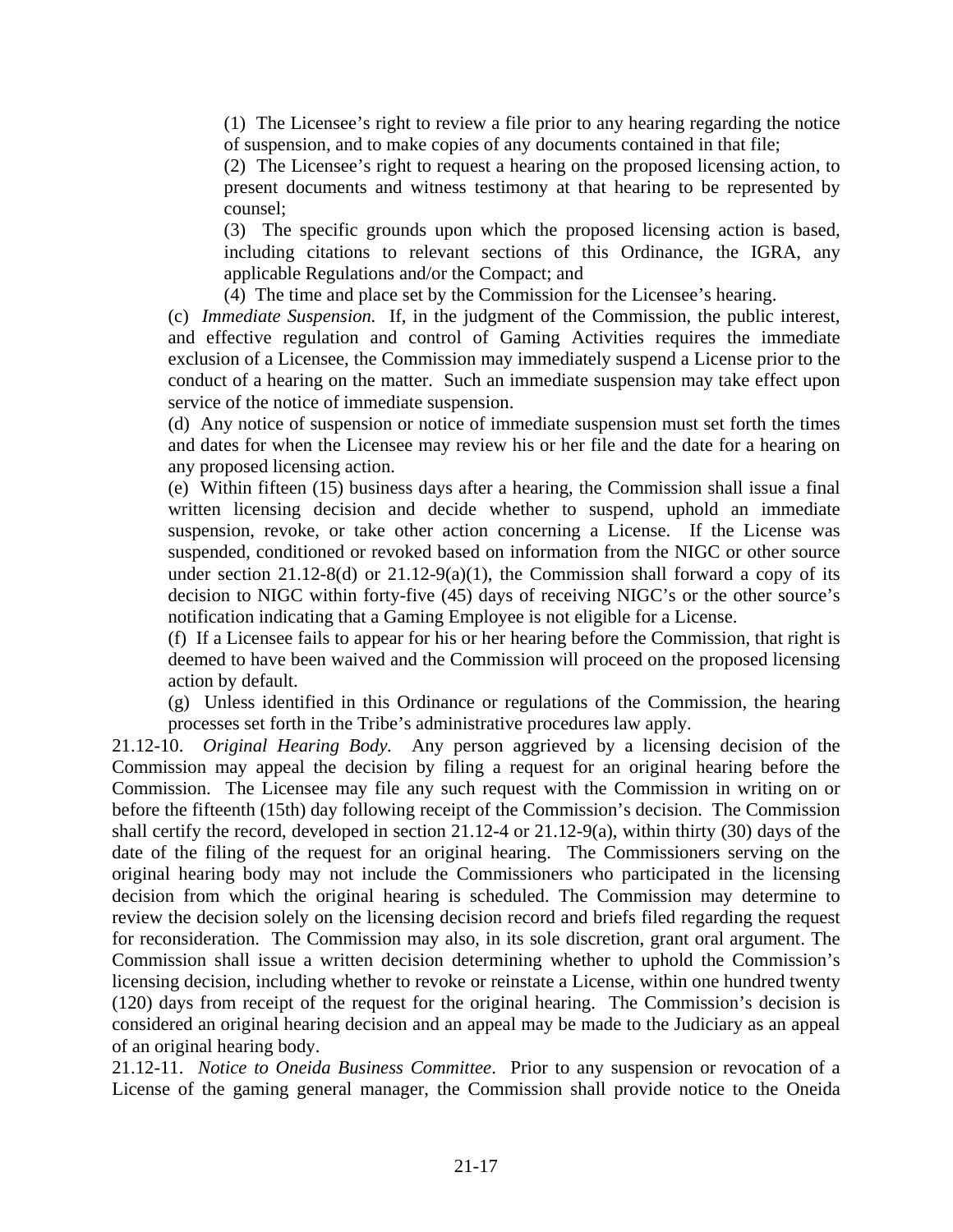(1) The Licensee's right to review a file prior to any hearing regarding the notice of suspension, and to make copies of any documents contained in that file;

(2) The Licensee's right to request a hearing on the proposed licensing action, to present documents and witness testimony at that hearing to be represented by counsel;

(3) The specific grounds upon which the proposed licensing action is based, including citations to relevant sections of this Ordinance, the IGRA, any applicable Regulations and/or the Compact; and

(4) The time and place set by the Commission for the Licensee's hearing.

(c) *Immediate Suspension.* If, in the judgment of the Commission, the public interest, and effective regulation and control of Gaming Activities requires the immediate exclusion of a Licensee, the Commission may immediately suspend a License prior to the conduct of a hearing on the matter. Such an immediate suspension may take effect upon service of the notice of immediate suspension.

(d) Any notice of suspension or notice of immediate suspension must set forth the times and dates for when the Licensee may review his or her file and the date for a hearing on any proposed licensing action.

(e) Within fifteen (15) business days after a hearing, the Commission shall issue a final written licensing decision and decide whether to suspend, uphold an immediate suspension, revoke, or take other action concerning a License. If the License was suspended, conditioned or revoked based on information from the NIGC or other source under section 21.12-8(d) or 21.12-9(a)(1), the Commission shall forward a copy of its decision to NIGC within forty-five (45) days of receiving NIGC's or the other source's notification indicating that a Gaming Employee is not eligible for a License.

(f) If a Licensee fails to appear for his or her hearing before the Commission, that right is deemed to have been waived and the Commission will proceed on the proposed licensing action by default.

(g) Unless identified in this Ordinance or regulations of the Commission, the hearing processes set forth in the Tribe's administrative procedures law apply.

21.12-10. *Original Hearing Body.* Any person aggrieved by a licensing decision of the Commission may appeal the decision by filing a request for an original hearing before the Commission. The Licensee may file any such request with the Commission in writing on or before the fifteenth (15th) day following receipt of the Commission's decision. The Commission shall certify the record, developed in section 21.12-4 or 21.12-9(a), within thirty (30) days of the date of the filing of the request for an original hearing. The Commissioners serving on the original hearing body may not include the Commissioners who participated in the licensing decision from which the original hearing is scheduled. The Commission may determine to review the decision solely on the licensing decision record and briefs filed regarding the request for reconsideration. The Commission may also, in its sole discretion, grant oral argument. The Commission shall issue a written decision determining whether to uphold the Commission's licensing decision, including whether to revoke or reinstate a License, within one hundred twenty (120) days from receipt of the request for the original hearing. The Commission's decision is considered an original hearing decision and an appeal may be made to the Judiciary as an appeal of an original hearing body.

21.12-11. *Notice to Oneida Business Committee*. Prior to any suspension or revocation of a License of the gaming general manager, the Commission shall provide notice to the Oneida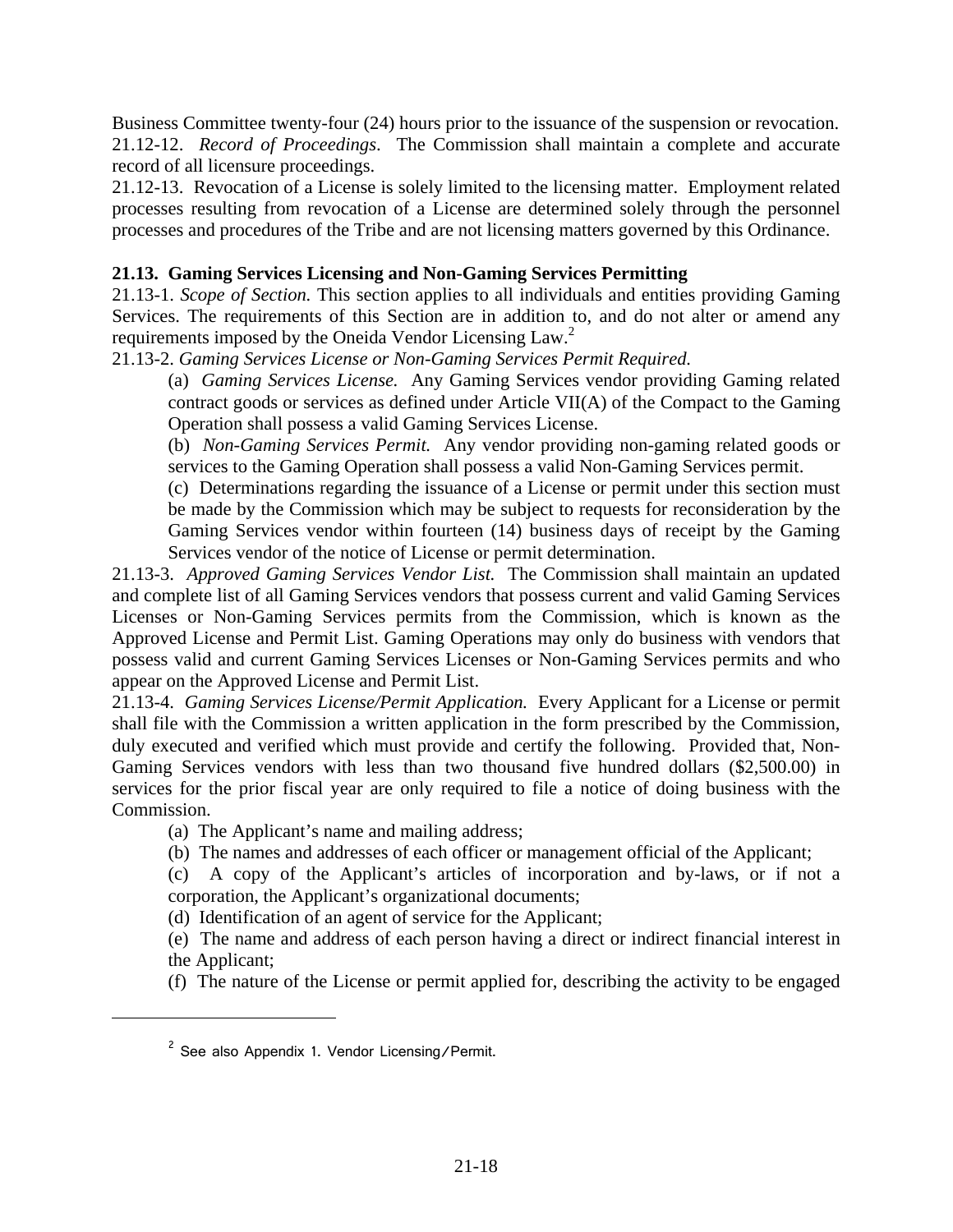Business Committee twenty-four (24) hours prior to the issuance of the suspension or revocation. 21.12-12. *Record of Proceedings*. The Commission shall maintain a complete and accurate record of all licensure proceedings.

21.12-13. Revocation of a License is solely limited to the licensing matter. Employment related processes resulting from revocation of a License are determined solely through the personnel processes and procedures of the Tribe and are not licensing matters governed by this Ordinance.

# **21.13. Gaming Services Licensing and Non-Gaming Services Permitting**

21.13-1. *Scope of Section.* This section applies to all individuals and entities providing Gaming Services. The requirements of this Section are in addition to, and do not alter or amend any requirements imposed by the Oneida Vendor Licensing Law.<sup>2</sup>

21.13-2. *Gaming Services License or Non-Gaming Services Permit Required.*

(a) *Gaming Services License.* Any Gaming Services vendor providing Gaming related contract goods or services as defined under Article VII(A) of the Compact to the Gaming Operation shall possess a valid Gaming Services License.

(b) *Non-Gaming Services Permit.* Any vendor providing non-gaming related goods or services to the Gaming Operation shall possess a valid Non-Gaming Services permit.

(c) Determinations regarding the issuance of a License or permit under this section must be made by the Commission which may be subject to requests for reconsideration by the Gaming Services vendor within fourteen (14) business days of receipt by the Gaming Services vendor of the notice of License or permit determination.

21.13-3. *Approved Gaming Services Vendor List.* The Commission shall maintain an updated and complete list of all Gaming Services vendors that possess current and valid Gaming Services Licenses or Non-Gaming Services permits from the Commission, which is known as the Approved License and Permit List. Gaming Operations may only do business with vendors that possess valid and current Gaming Services Licenses or Non-Gaming Services permits and who appear on the Approved License and Permit List.

21.13-4. *Gaming Services License/Permit Application.* Every Applicant for a License or permit shall file with the Commission a written application in the form prescribed by the Commission, duly executed and verified which must provide and certify the following. Provided that, Non-Gaming Services vendors with less than two thousand five hundred dollars (\$2,500.00) in services for the prior fiscal year are only required to file a notice of doing business with the Commission.

(a) The Applicant's name and mailing address;

(b) The names and addresses of each officer or management official of the Applicant;

(c) A copy of the Applicant's articles of incorporation and by-laws, or if not a corporation, the Applicant's organizational documents;

(d) Identification of an agent of service for the Applicant;

(e) The name and address of each person having a direct or indirect financial interest in the Applicant;

(f) The nature of the License or permit applied for, describing the activity to be engaged

i

<sup>&</sup>lt;sup>2</sup> See also Appendix 1. Vendor Licensing/Permit.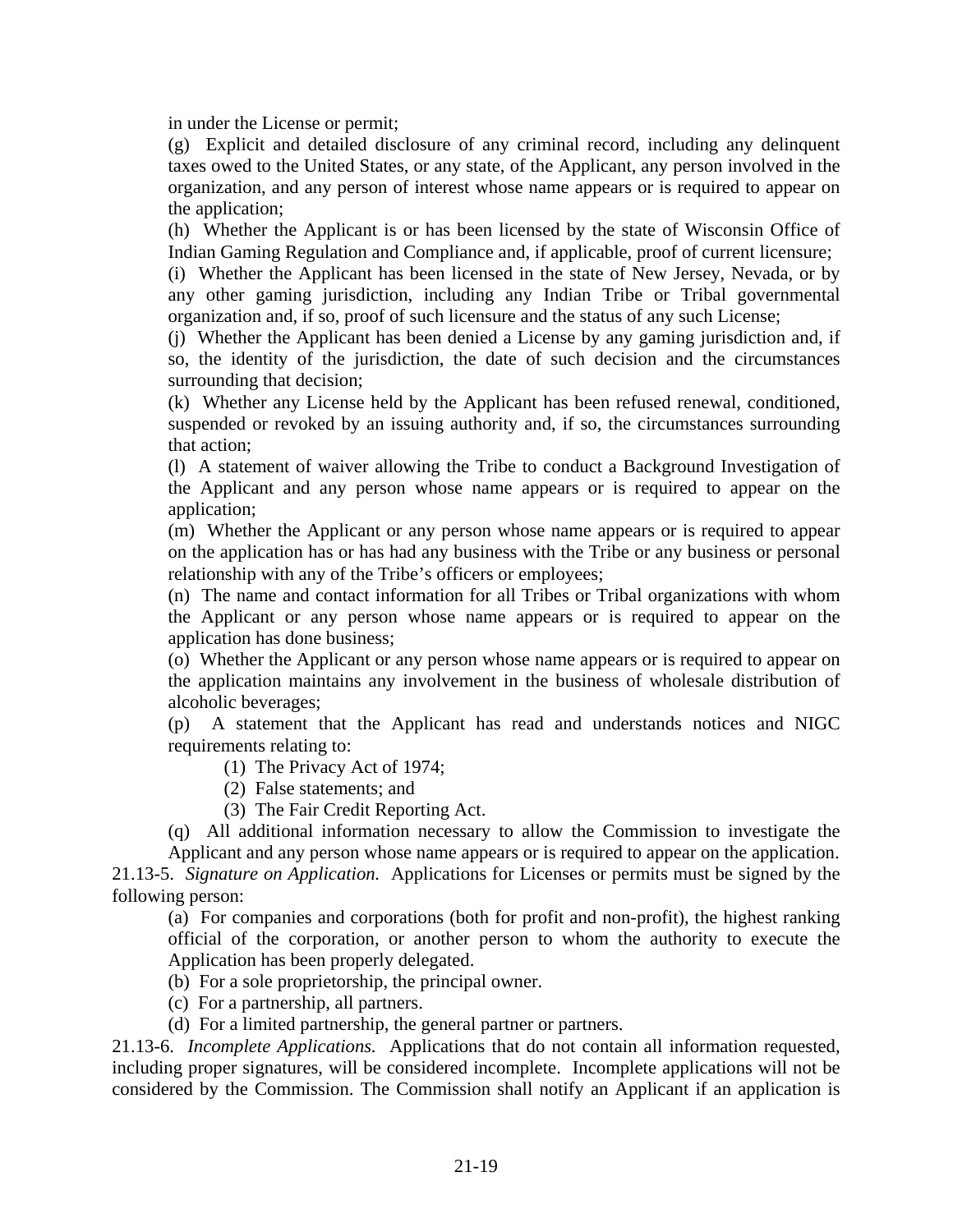in under the License or permit;

(g) Explicit and detailed disclosure of any criminal record, including any delinquent taxes owed to the United States, or any state, of the Applicant, any person involved in the organization, and any person of interest whose name appears or is required to appear on the application;

(h) Whether the Applicant is or has been licensed by the state of Wisconsin Office of Indian Gaming Regulation and Compliance and, if applicable, proof of current licensure;

(i) Whether the Applicant has been licensed in the state of New Jersey, Nevada, or by any other gaming jurisdiction, including any Indian Tribe or Tribal governmental organization and, if so, proof of such licensure and the status of any such License;

(j) Whether the Applicant has been denied a License by any gaming jurisdiction and, if so, the identity of the jurisdiction, the date of such decision and the circumstances surrounding that decision;

(k) Whether any License held by the Applicant has been refused renewal, conditioned, suspended or revoked by an issuing authority and, if so, the circumstances surrounding that action;

(l) A statement of waiver allowing the Tribe to conduct a Background Investigation of the Applicant and any person whose name appears or is required to appear on the application;

(m) Whether the Applicant or any person whose name appears or is required to appear on the application has or has had any business with the Tribe or any business or personal relationship with any of the Tribe's officers or employees;

(n) The name and contact information for all Tribes or Tribal organizations with whom the Applicant or any person whose name appears or is required to appear on the application has done business;

(o) Whether the Applicant or any person whose name appears or is required to appear on the application maintains any involvement in the business of wholesale distribution of alcoholic beverages;

(p) A statement that the Applicant has read and understands notices and NIGC requirements relating to:

(1) The Privacy Act of 1974;

(2) False statements; and

(3) The Fair Credit Reporting Act.

(q) All additional information necessary to allow the Commission to investigate the Applicant and any person whose name appears or is required to appear on the application.

21.13-5. *Signature on Application.* Applications for Licenses or permits must be signed by the following person:

(a) For companies and corporations (both for profit and non-profit), the highest ranking official of the corporation, or another person to whom the authority to execute the Application has been properly delegated.

(b) For a sole proprietorship, the principal owner.

(c) For a partnership, all partners.

(d) For a limited partnership, the general partner or partners.

21.13-6. *Incomplete Applications.* Applications that do not contain all information requested, including proper signatures, will be considered incomplete. Incomplete applications will not be considered by the Commission. The Commission shall notify an Applicant if an application is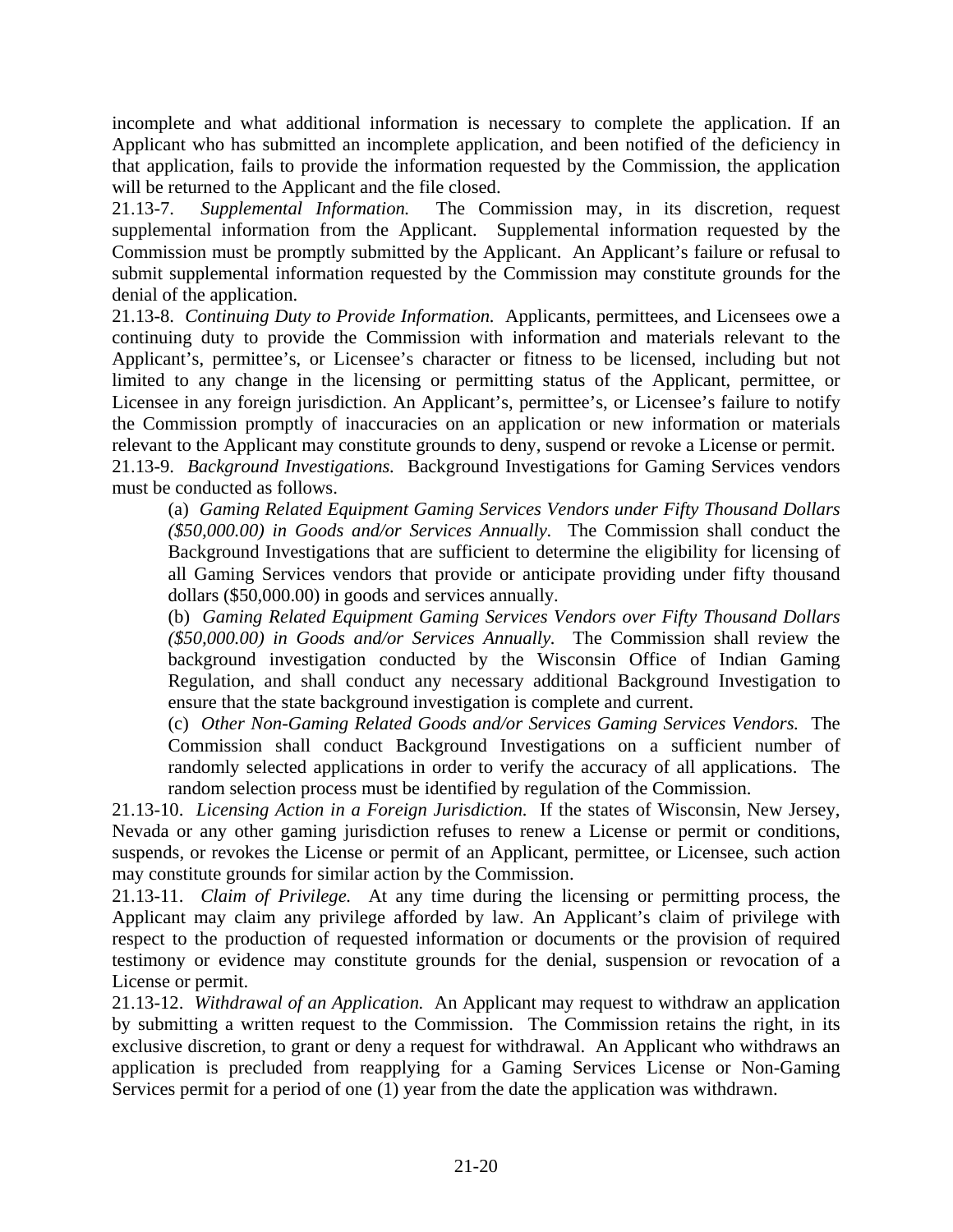incomplete and what additional information is necessary to complete the application. If an Applicant who has submitted an incomplete application, and been notified of the deficiency in that application, fails to provide the information requested by the Commission, the application will be returned to the Applicant and the file closed.

21.13-7. *Supplemental Information.* The Commission may, in its discretion, request supplemental information from the Applicant. Supplemental information requested by the Commission must be promptly submitted by the Applicant. An Applicant's failure or refusal to submit supplemental information requested by the Commission may constitute grounds for the denial of the application.

21.13-8. *Continuing Duty to Provide Information.* Applicants, permittees, and Licensees owe a continuing duty to provide the Commission with information and materials relevant to the Applicant's, permittee's, or Licensee's character or fitness to be licensed, including but not limited to any change in the licensing or permitting status of the Applicant, permittee, or Licensee in any foreign jurisdiction. An Applicant's, permittee's, or Licensee's failure to notify the Commission promptly of inaccuracies on an application or new information or materials relevant to the Applicant may constitute grounds to deny, suspend or revoke a License or permit. 21.13-9. *Background Investigations.* Background Investigations for Gaming Services vendors

must be conducted as follows.

(a) *Gaming Related Equipment Gaming Services Vendors under Fifty Thousand Dollars (\$50,000.00) in Goods and/or Services Annually.* The Commission shall conduct the Background Investigations that are sufficient to determine the eligibility for licensing of all Gaming Services vendors that provide or anticipate providing under fifty thousand dollars (\$50,000.00) in goods and services annually.

(b) *Gaming Related Equipment Gaming Services Vendors over Fifty Thousand Dollars (\$50,000.00) in Goods and/or Services Annually.* The Commission shall review the background investigation conducted by the Wisconsin Office of Indian Gaming Regulation, and shall conduct any necessary additional Background Investigation to ensure that the state background investigation is complete and current.

(c) *Other Non-Gaming Related Goods and/or Services Gaming Services Vendors.* The Commission shall conduct Background Investigations on a sufficient number of randomly selected applications in order to verify the accuracy of all applications. The random selection process must be identified by regulation of the Commission.

21.13-10. *Licensing Action in a Foreign Jurisdiction.* If the states of Wisconsin, New Jersey, Nevada or any other gaming jurisdiction refuses to renew a License or permit or conditions, suspends, or revokes the License or permit of an Applicant, permittee, or Licensee, such action may constitute grounds for similar action by the Commission.

21.13-11. *Claim of Privilege.* At any time during the licensing or permitting process, the Applicant may claim any privilege afforded by law. An Applicant's claim of privilege with respect to the production of requested information or documents or the provision of required testimony or evidence may constitute grounds for the denial, suspension or revocation of a License or permit.

21.13-12. *Withdrawal of an Application.* An Applicant may request to withdraw an application by submitting a written request to the Commission. The Commission retains the right, in its exclusive discretion, to grant or deny a request for withdrawal. An Applicant who withdraws an application is precluded from reapplying for a Gaming Services License or Non-Gaming Services permit for a period of one (1) year from the date the application was withdrawn.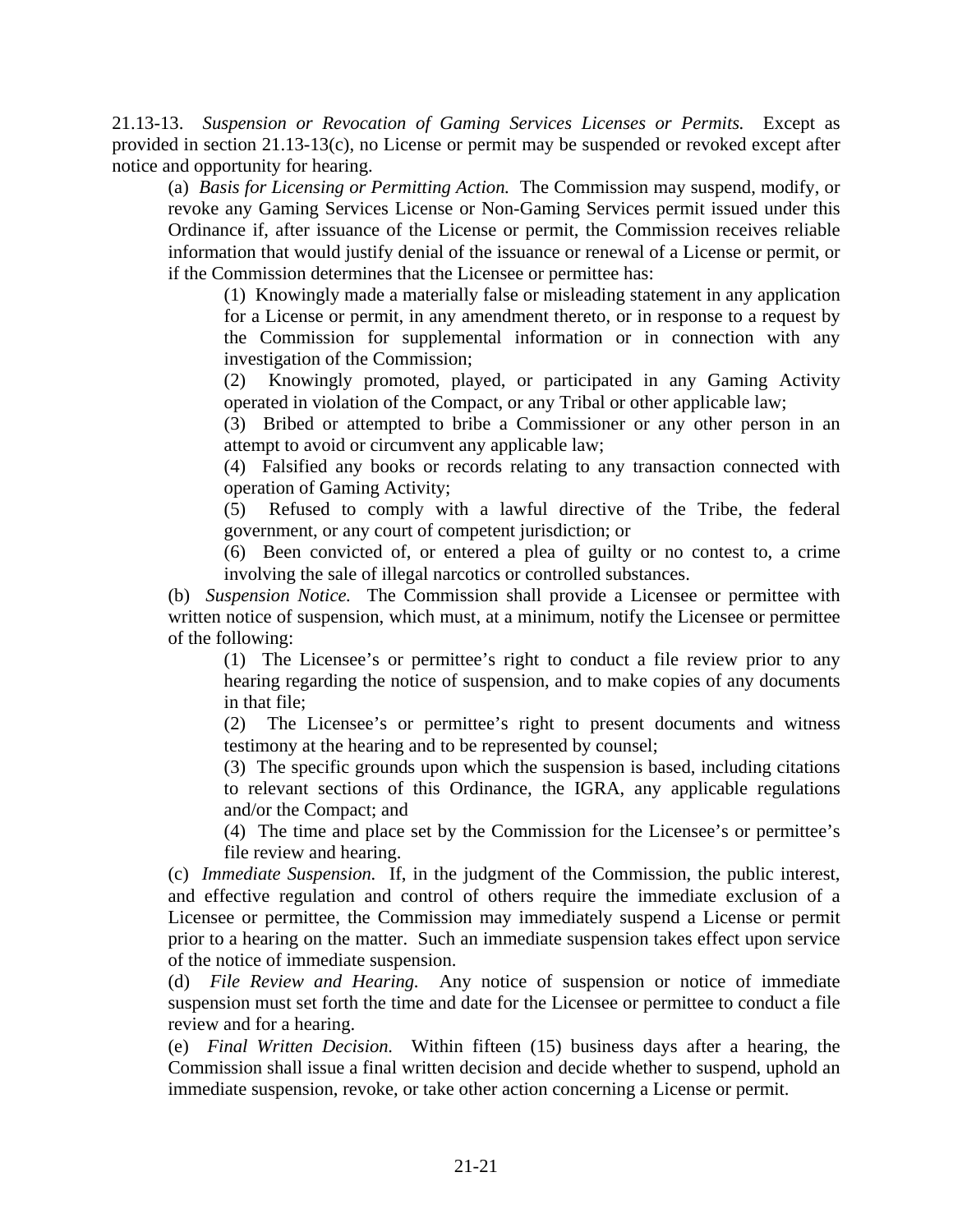21.13-13. *Suspension or Revocation of Gaming Services Licenses or Permits.* Except as provided in section 21.13-13(c), no License or permit may be suspended or revoked except after notice and opportunity for hearing.

(a) *Basis for Licensing or Permitting Action.* The Commission may suspend, modify, or revoke any Gaming Services License or Non-Gaming Services permit issued under this Ordinance if, after issuance of the License or permit, the Commission receives reliable information that would justify denial of the issuance or renewal of a License or permit, or if the Commission determines that the Licensee or permittee has:

(1) Knowingly made a materially false or misleading statement in any application for a License or permit, in any amendment thereto, or in response to a request by the Commission for supplemental information or in connection with any investigation of the Commission;

(2) Knowingly promoted, played, or participated in any Gaming Activity operated in violation of the Compact, or any Tribal or other applicable law;

(3) Bribed or attempted to bribe a Commissioner or any other person in an attempt to avoid or circumvent any applicable law;

(4) Falsified any books or records relating to any transaction connected with operation of Gaming Activity;

(5) Refused to comply with a lawful directive of the Tribe, the federal government, or any court of competent jurisdiction; or

(6) Been convicted of, or entered a plea of guilty or no contest to, a crime involving the sale of illegal narcotics or controlled substances.

(b) *Suspension Notice.* The Commission shall provide a Licensee or permittee with written notice of suspension, which must, at a minimum, notify the Licensee or permittee of the following:

(1) The Licensee's or permittee's right to conduct a file review prior to any hearing regarding the notice of suspension, and to make copies of any documents in that file;

(2) The Licensee's or permittee's right to present documents and witness testimony at the hearing and to be represented by counsel;

(3) The specific grounds upon which the suspension is based, including citations to relevant sections of this Ordinance, the IGRA, any applicable regulations and/or the Compact; and

(4) The time and place set by the Commission for the Licensee's or permittee's file review and hearing.

(c) *Immediate Suspension.* If, in the judgment of the Commission, the public interest, and effective regulation and control of others require the immediate exclusion of a Licensee or permittee, the Commission may immediately suspend a License or permit prior to a hearing on the matter. Such an immediate suspension takes effect upon service of the notice of immediate suspension.

(d) *File Review and Hearing.* Any notice of suspension or notice of immediate suspension must set forth the time and date for the Licensee or permittee to conduct a file review and for a hearing.

(e) *Final Written Decision.* Within fifteen (15) business days after a hearing, the Commission shall issue a final written decision and decide whether to suspend, uphold an immediate suspension, revoke, or take other action concerning a License or permit.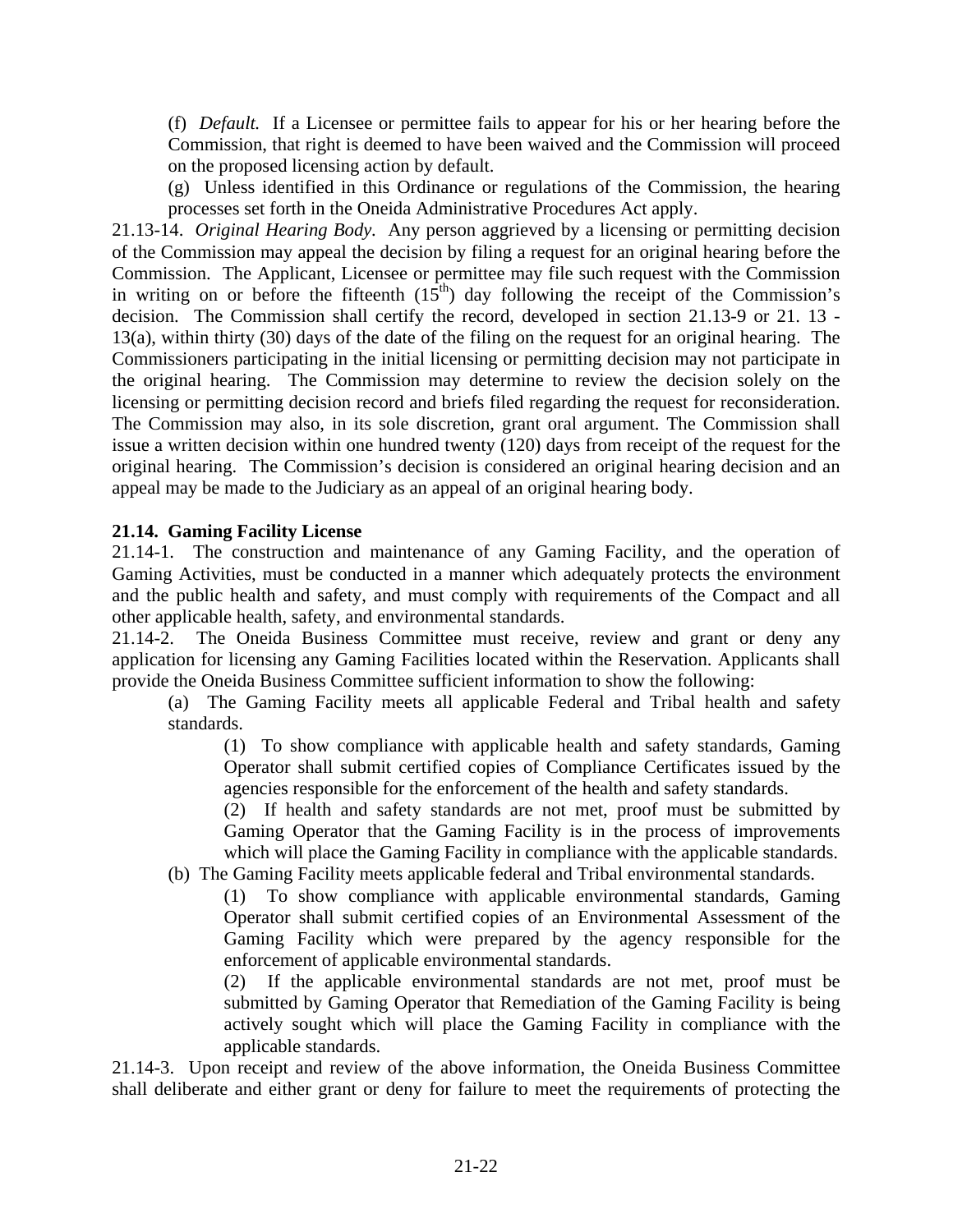(f) *Default.* If a Licensee or permittee fails to appear for his or her hearing before the Commission, that right is deemed to have been waived and the Commission will proceed on the proposed licensing action by default.

(g) Unless identified in this Ordinance or regulations of the Commission, the hearing processes set forth in the Oneida Administrative Procedures Act apply.

21.13-14. *Original Hearing Body.* Any person aggrieved by a licensing or permitting decision of the Commission may appeal the decision by filing a request for an original hearing before the Commission. The Applicant, Licensee or permittee may file such request with the Commission in writing on or before the fifteenth  $(15<sup>th</sup>)$  day following the receipt of the Commission's decision. The Commission shall certify the record, developed in section 21.13-9 or 21. 13 - 13(a), within thirty (30) days of the date of the filing on the request for an original hearing. The Commissioners participating in the initial licensing or permitting decision may not participate in the original hearing. The Commission may determine to review the decision solely on the licensing or permitting decision record and briefs filed regarding the request for reconsideration. The Commission may also, in its sole discretion, grant oral argument. The Commission shall issue a written decision within one hundred twenty (120) days from receipt of the request for the original hearing. The Commission's decision is considered an original hearing decision and an appeal may be made to the Judiciary as an appeal of an original hearing body.

# **21.14. Gaming Facility License**

21.14-1. The construction and maintenance of any Gaming Facility, and the operation of Gaming Activities, must be conducted in a manner which adequately protects the environment and the public health and safety, and must comply with requirements of the Compact and all other applicable health, safety, and environmental standards.

21.14-2. The Oneida Business Committee must receive, review and grant or deny any application for licensing any Gaming Facilities located within the Reservation. Applicants shall provide the Oneida Business Committee sufficient information to show the following:

(a) The Gaming Facility meets all applicable Federal and Tribal health and safety standards.

(1) To show compliance with applicable health and safety standards, Gaming Operator shall submit certified copies of Compliance Certificates issued by the agencies responsible for the enforcement of the health and safety standards.

(2) If health and safety standards are not met, proof must be submitted by Gaming Operator that the Gaming Facility is in the process of improvements which will place the Gaming Facility in compliance with the applicable standards.

(b) The Gaming Facility meets applicable federal and Tribal environmental standards.

(1) To show compliance with applicable environmental standards, Gaming Operator shall submit certified copies of an Environmental Assessment of the Gaming Facility which were prepared by the agency responsible for the enforcement of applicable environmental standards.

(2) If the applicable environmental standards are not met, proof must be submitted by Gaming Operator that Remediation of the Gaming Facility is being actively sought which will place the Gaming Facility in compliance with the applicable standards.

21.14-3. Upon receipt and review of the above information, the Oneida Business Committee shall deliberate and either grant or deny for failure to meet the requirements of protecting the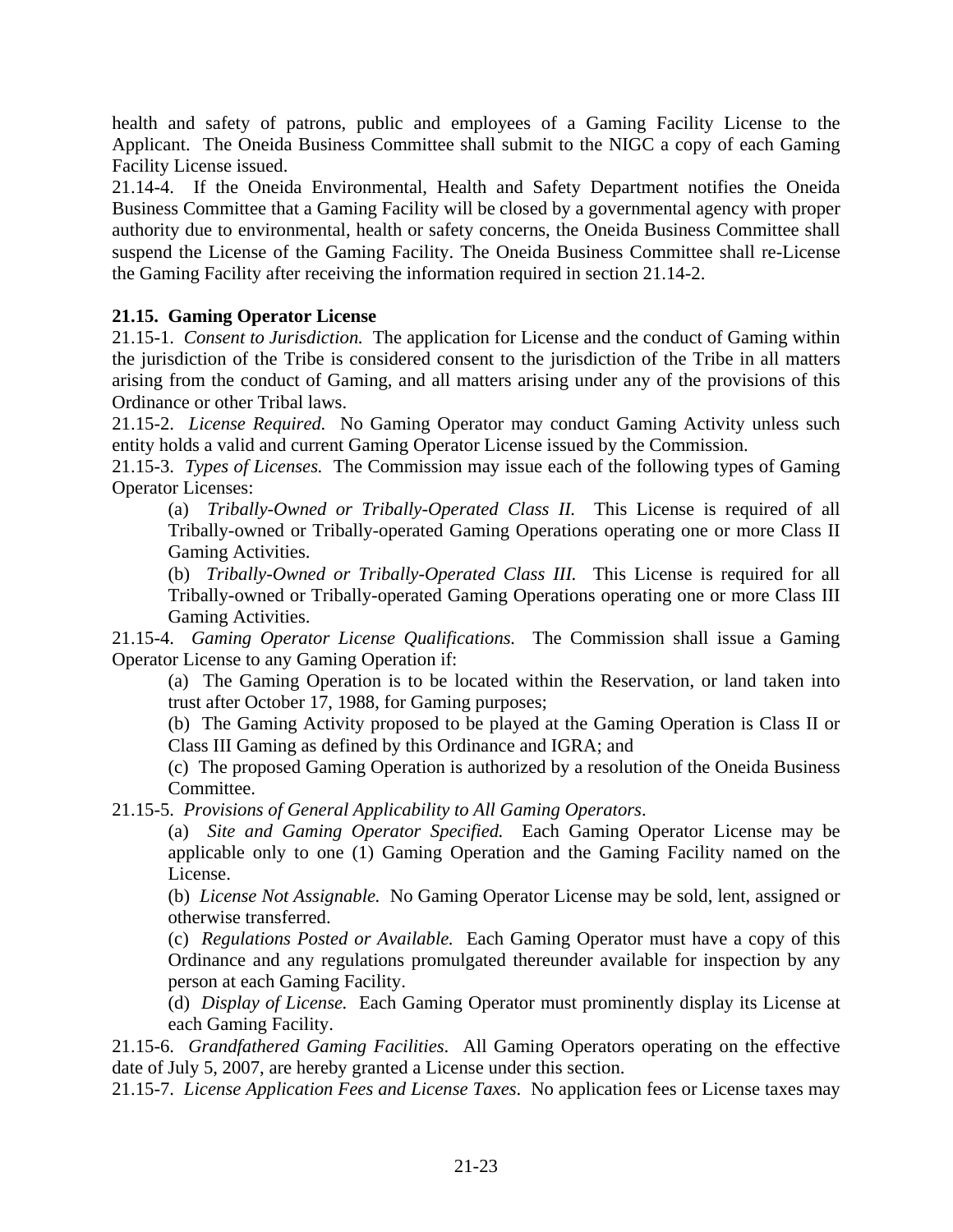health and safety of patrons, public and employees of a Gaming Facility License to the Applicant. The Oneida Business Committee shall submit to the NIGC a copy of each Gaming Facility License issued.

21.14-4. If the Oneida Environmental, Health and Safety Department notifies the Oneida Business Committee that a Gaming Facility will be closed by a governmental agency with proper authority due to environmental, health or safety concerns, the Oneida Business Committee shall suspend the License of the Gaming Facility. The Oneida Business Committee shall re-License the Gaming Facility after receiving the information required in section 21.14-2.

# **21.15. Gaming Operator License**

21.15-1. *Consent to Jurisdiction.* The application for License and the conduct of Gaming within the jurisdiction of the Tribe is considered consent to the jurisdiction of the Tribe in all matters arising from the conduct of Gaming, and all matters arising under any of the provisions of this Ordinance or other Tribal laws.

21.15-2. *License Required.* No Gaming Operator may conduct Gaming Activity unless such entity holds a valid and current Gaming Operator License issued by the Commission.

21.15-3. *Types of Licenses.* The Commission may issue each of the following types of Gaming Operator Licenses:

(a) *Tribally-Owned or Tribally-Operated Class II.* This License is required of all Tribally-owned or Tribally-operated Gaming Operations operating one or more Class II Gaming Activities.

(b) *Tribally-Owned or Tribally-Operated Class III.* This License is required for all Tribally-owned or Tribally-operated Gaming Operations operating one or more Class III Gaming Activities.

21.15-4. *Gaming Operator License Qualifications.* The Commission shall issue a Gaming Operator License to any Gaming Operation if:

(a) The Gaming Operation is to be located within the Reservation, or land taken into trust after October 17, 1988, for Gaming purposes;

(b) The Gaming Activity proposed to be played at the Gaming Operation is Class II or Class III Gaming as defined by this Ordinance and IGRA; and

(c) The proposed Gaming Operation is authorized by a resolution of the Oneida Business Committee.

21.15-5. *Provisions of General Applicability to All Gaming Operators*.

(a) *Site and Gaming Operator Specified.* Each Gaming Operator License may be applicable only to one (1) Gaming Operation and the Gaming Facility named on the License.

(b) *License Not Assignable.* No Gaming Operator License may be sold, lent, assigned or otherwise transferred.

(c) *Regulations Posted or Available.* Each Gaming Operator must have a copy of this Ordinance and any regulations promulgated thereunder available for inspection by any person at each Gaming Facility.

(d) *Display of License.* Each Gaming Operator must prominently display its License at each Gaming Facility.

21.15-6. *Grandfathered Gaming Facilities*. All Gaming Operators operating on the effective date of July 5, 2007, are hereby granted a License under this section.

21.15-7. *License Application Fees and License Taxes*. No application fees or License taxes may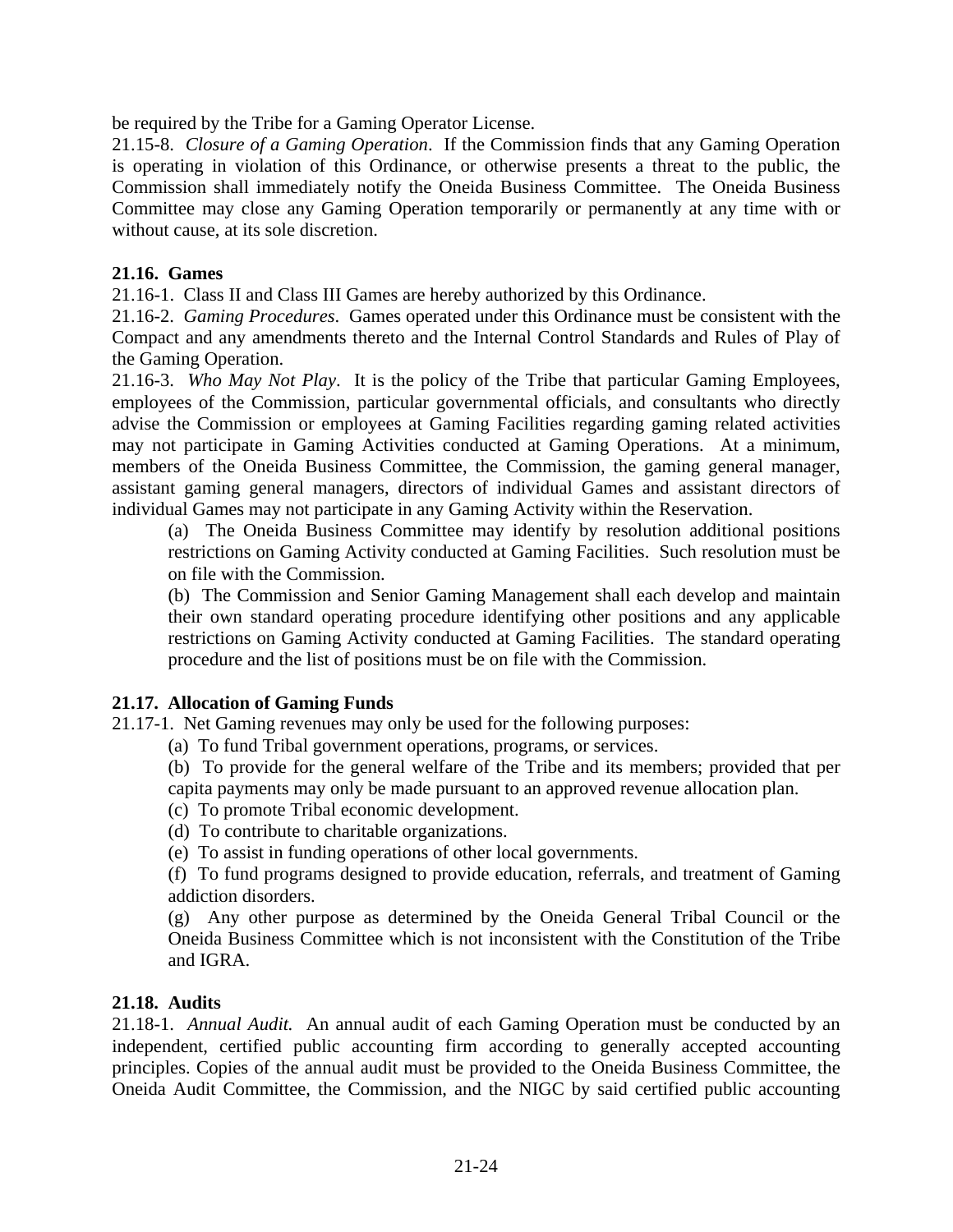be required by the Tribe for a Gaming Operator License.

21.15-8. *Closure of a Gaming Operation*. If the Commission finds that any Gaming Operation is operating in violation of this Ordinance, or otherwise presents a threat to the public, the Commission shall immediately notify the Oneida Business Committee. The Oneida Business Committee may close any Gaming Operation temporarily or permanently at any time with or without cause, at its sole discretion.

#### **21.16. Games**

21.16-1. Class II and Class III Games are hereby authorized by this Ordinance.

21.16-2. *Gaming Procedures*. Games operated under this Ordinance must be consistent with the Compact and any amendments thereto and the Internal Control Standards and Rules of Play of the Gaming Operation.

21.16-3. *Who May Not Play*. It is the policy of the Tribe that particular Gaming Employees, employees of the Commission, particular governmental officials, and consultants who directly advise the Commission or employees at Gaming Facilities regarding gaming related activities may not participate in Gaming Activities conducted at Gaming Operations. At a minimum, members of the Oneida Business Committee, the Commission, the gaming general manager, assistant gaming general managers, directors of individual Games and assistant directors of individual Games may not participate in any Gaming Activity within the Reservation.

(a) The Oneida Business Committee may identify by resolution additional positions restrictions on Gaming Activity conducted at Gaming Facilities. Such resolution must be on file with the Commission.

(b) The Commission and Senior Gaming Management shall each develop and maintain their own standard operating procedure identifying other positions and any applicable restrictions on Gaming Activity conducted at Gaming Facilities. The standard operating procedure and the list of positions must be on file with the Commission.

#### **21.17. Allocation of Gaming Funds**

21.17-1. Net Gaming revenues may only be used for the following purposes:

(a) To fund Tribal government operations, programs, or services.

(b) To provide for the general welfare of the Tribe and its members; provided that per capita payments may only be made pursuant to an approved revenue allocation plan.

- (c) To promote Tribal economic development.
- (d) To contribute to charitable organizations.
- (e) To assist in funding operations of other local governments.

(f) To fund programs designed to provide education, referrals, and treatment of Gaming addiction disorders.

(g) Any other purpose as determined by the Oneida General Tribal Council or the Oneida Business Committee which is not inconsistent with the Constitution of the Tribe and IGRA.

#### **21.18. Audits**

21.18-1. *Annual Audit.* An annual audit of each Gaming Operation must be conducted by an independent, certified public accounting firm according to generally accepted accounting principles. Copies of the annual audit must be provided to the Oneida Business Committee, the Oneida Audit Committee, the Commission, and the NIGC by said certified public accounting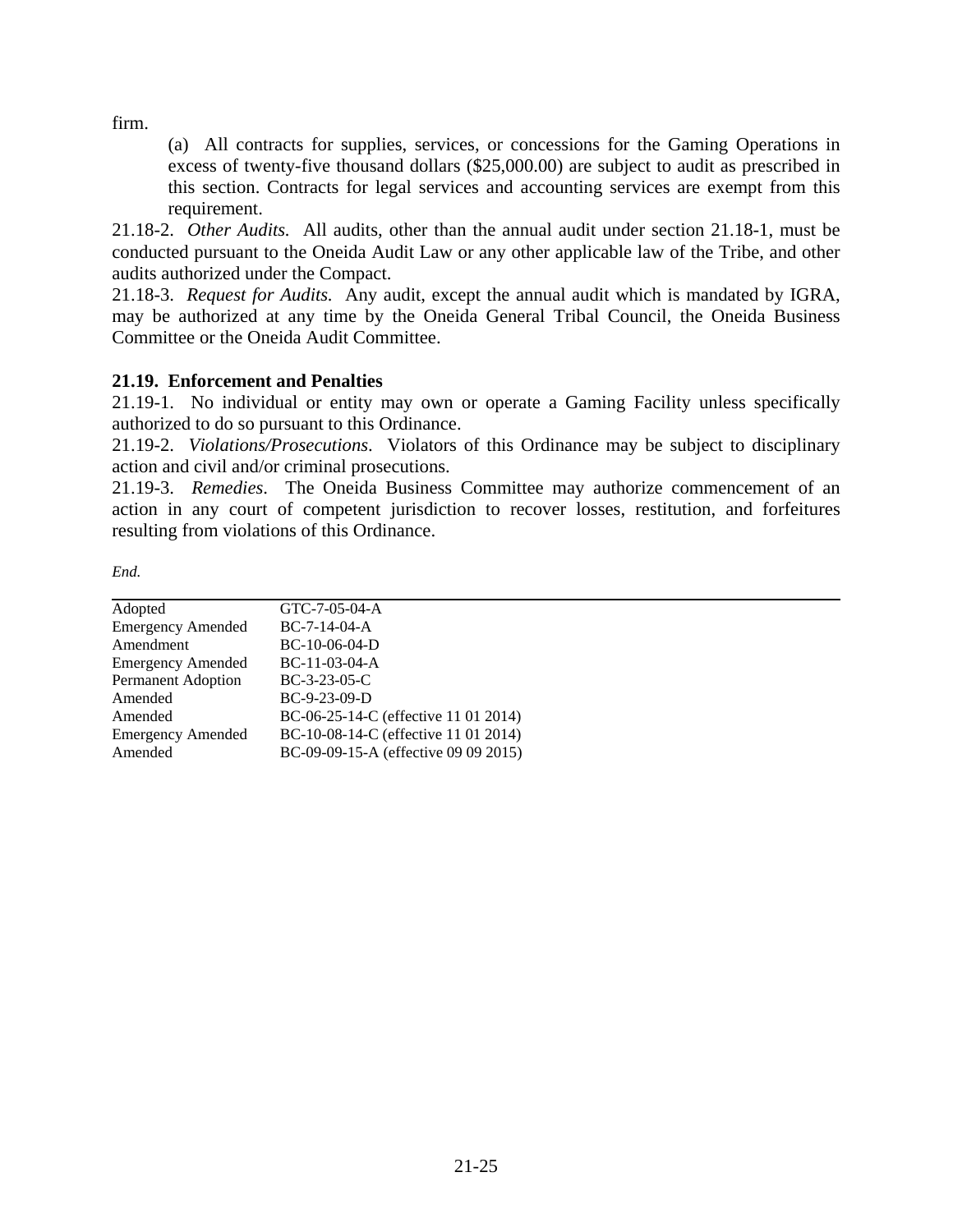firm.

(a) All contracts for supplies, services, or concessions for the Gaming Operations in excess of twenty-five thousand dollars (\$25,000.00) are subject to audit as prescribed in this section. Contracts for legal services and accounting services are exempt from this requirement.

21.18-2. *Other Audits.* All audits, other than the annual audit under section 21.18-1, must be conducted pursuant to the Oneida Audit Law or any other applicable law of the Tribe, and other audits authorized under the Compact.

21.18-3. *Request for Audits.* Any audit, except the annual audit which is mandated by IGRA, may be authorized at any time by the Oneida General Tribal Council, the Oneida Business Committee or the Oneida Audit Committee.

# **21.19. Enforcement and Penalties**

21.19-1. No individual or entity may own or operate a Gaming Facility unless specifically authorized to do so pursuant to this Ordinance.

21.19-2. *Violations/Prosecutions*. Violators of this Ordinance may be subject to disciplinary action and civil and/or criminal prosecutions.

21.19-3. *Remedies*. The Oneida Business Committee may authorize commencement of an action in any court of competent jurisdiction to recover losses, restitution, and forfeitures resulting from violations of this Ordinance.

| Adopted                   | GTC-7-05-04-A                        |
|---------------------------|--------------------------------------|
| <b>Emergency Amended</b>  | $BC-7-14-04-A$                       |
| Amendment                 | $BC-10-06-04-D$                      |
| <b>Emergency Amended</b>  | $BC-11-03-04-A$                      |
| <b>Permanent Adoption</b> | $BC-3-23-05-C$                       |
| Amended                   | $BC-9-23-09-D$                       |
| Amended                   | BC-06-25-14-C (effective 11 01 2014) |
| <b>Emergency Amended</b>  | BC-10-08-14-C (effective 11 01 2014) |
| Amended                   | BC-09-09-15-A (effective 09 09 2015) |